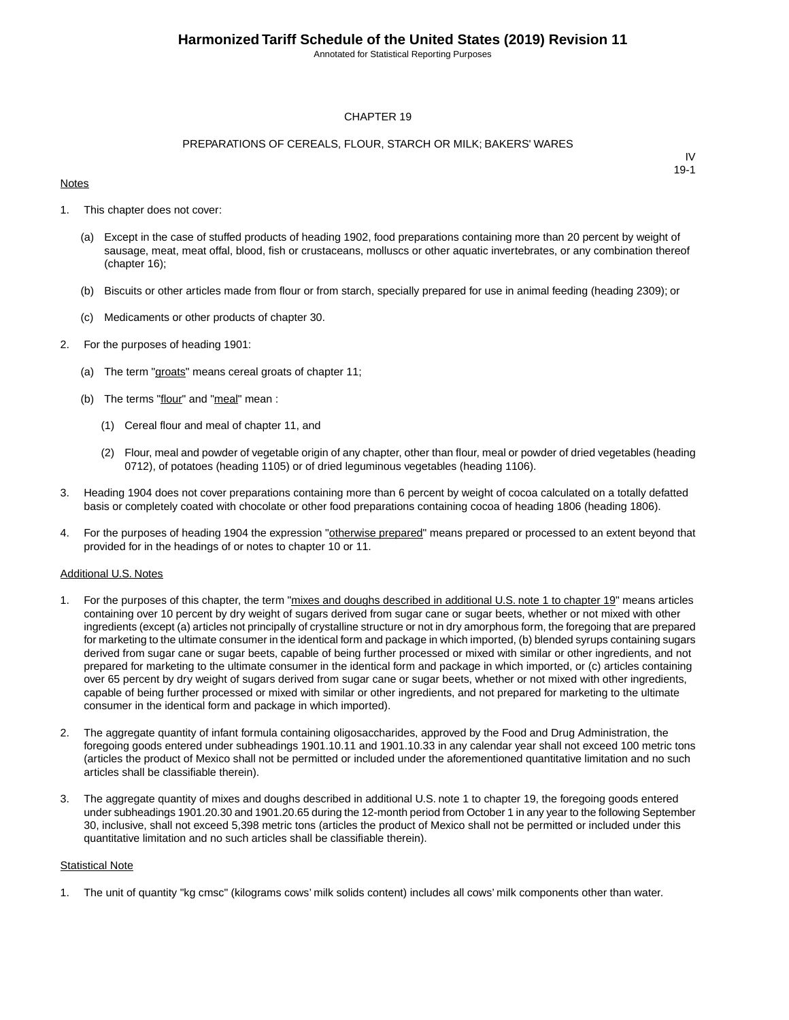Annotated for Statistical Reporting Purposes

#### CHAPTER 19

#### PREPARATIONS OF CEREALS, FLOUR, STARCH OR MILK; BAKERS' WARES

#### **Notes**

IV 19-1

- 1. This chapter does not cover:
	- (a) Except in the case of stuffed products of heading 1902, food preparations containing more than 20 percent by weight of sausage, meat, meat offal, blood, fish or crustaceans, molluscs or other aquatic invertebrates, or any combination thereof (chapter 16);
	- (b) Biscuits or other articles made from flour or from starch, specially prepared for use in animal feeding (heading 2309); or
	- (c) Medicaments or other products of chapter 30.
- 2. For the purposes of heading 1901:
	- (a) The term "groats" means cereal groats of chapter 11;
	- (b) The terms "flour" and "meal" mean :
		- (1) Cereal flour and meal of chapter 11, and
		- (2) Flour, meal and powder of vegetable origin of any chapter, other than flour, meal or powder of dried vegetables (heading 0712), of potatoes (heading 1105) or of dried leguminous vegetables (heading 1106).
- 3. Heading 1904 does not cover preparations containing more than 6 percent by weight of cocoa calculated on a totally defatted basis or completely coated with chocolate or other food preparations containing cocoa of heading 1806 (heading 1806).
- 4. For the purposes of heading 1904 the expression "otherwise prepared" means prepared or processed to an extent beyond that provided for in the headings of or notes to chapter 10 or 11.

#### Additional U.S. Notes

- 1. For the purposes of this chapter, the term "mixes and doughs described in additional U.S. note 1 to chapter 19" means articles containing over 10 percent by dry weight of sugars derived from sugar cane or sugar beets, whether or not mixed with other ingredients (except (a) articles not principally of crystalline structure or not in dry amorphous form, the foregoing that are prepared for marketing to the ultimate consumer in the identical form and package in which imported, (b) blended syrups containing sugars derived from sugar cane or sugar beets, capable of being further processed or mixed with similar or other ingredients, and not prepared for marketing to the ultimate consumer in the identical form and package in which imported, or (c) articles containing over 65 percent by dry weight of sugars derived from sugar cane or sugar beets, whether or not mixed with other ingredients, capable of being further processed or mixed with similar or other ingredients, and not prepared for marketing to the ultimate consumer in the identical form and package in which imported).
- 2. The aggregate quantity of infant formula containing oligosaccharides, approved by the Food and Drug Administration, the foregoing goods entered under subheadings 1901.10.11 and 1901.10.33 in any calendar year shall not exceed 100 metric tons (articles the product of Mexico shall not be permitted or included under the aforementioned quantitative limitation and no such articles shall be classifiable therein).
- 3. The aggregate quantity of mixes and doughs described in additional U.S. note 1 to chapter 19, the foregoing goods entered under subheadings 1901.20.30 and 1901.20.65 during the 12-month period from October 1 in any year to the following September 30, inclusive, shall not exceed 5,398 metric tons (articles the product of Mexico shall not be permitted or included under this quantitative limitation and no such articles shall be classifiable therein).

#### **Statistical Note**

1. The unit of quantity "kg cmsc" (kilograms cows' milk solids content) includes all cows' milk components other than water.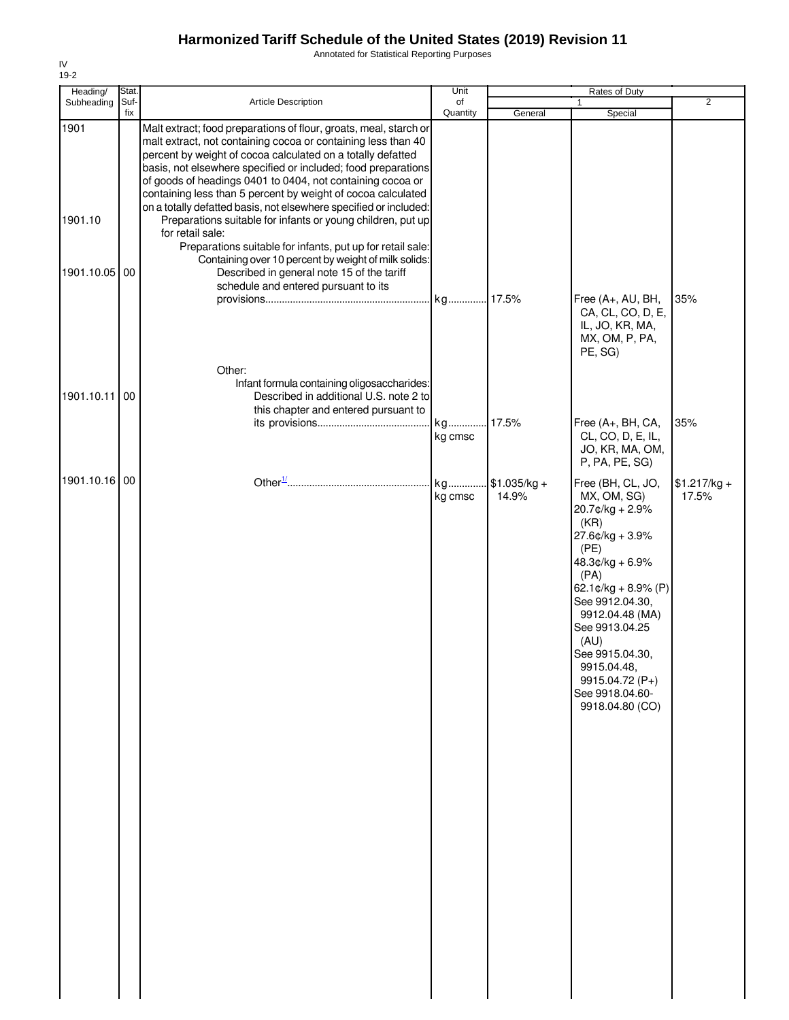Annotated for Statistical Reporting Purposes

| Heading/      | Stat. |                                                                                                                                                                                                                                                                                                                                                                                                  | Unit          |                        | Rates of Duty                                                                                                                                                                                                                                                                                       |                        |
|---------------|-------|--------------------------------------------------------------------------------------------------------------------------------------------------------------------------------------------------------------------------------------------------------------------------------------------------------------------------------------------------------------------------------------------------|---------------|------------------------|-----------------------------------------------------------------------------------------------------------------------------------------------------------------------------------------------------------------------------------------------------------------------------------------------------|------------------------|
| Subheading    | Suf-  | <b>Article Description</b>                                                                                                                                                                                                                                                                                                                                                                       | of            |                        | $\mathbf{1}$                                                                                                                                                                                                                                                                                        | $\overline{2}$         |
| 1901          | fix   | Malt extract; food preparations of flour, groats, meal, starch or<br>malt extract, not containing cocoa or containing less than 40<br>percent by weight of cocoa calculated on a totally defatted<br>basis, not elsewhere specified or included; food preparations<br>of goods of headings 0401 to 0404, not containing cocoa or<br>containing less than 5 percent by weight of cocoa calculated | Quantity      | General                | Special                                                                                                                                                                                                                                                                                             |                        |
| 1901.10       |       | on a totally defatted basis, not elsewhere specified or included:<br>Preparations suitable for infants or young children, put up<br>for retail sale:<br>Preparations suitable for infants, put up for retail sale:                                                                                                                                                                               |               |                        |                                                                                                                                                                                                                                                                                                     |                        |
| 1901.10.05    | 00    | Containing over 10 percent by weight of milk solids:<br>Described in general note 15 of the tariff<br>schedule and entered pursuant to its                                                                                                                                                                                                                                                       |               |                        |                                                                                                                                                                                                                                                                                                     |                        |
|               |       |                                                                                                                                                                                                                                                                                                                                                                                                  |               |                        | Free (A+, AU, BH,<br>CA, CL, CO, D, E,<br>IL, JO, KR, MA,<br>MX, OM, P, PA,<br>PE, SG)                                                                                                                                                                                                              | 35%                    |
|               |       | Other:                                                                                                                                                                                                                                                                                                                                                                                           |               |                        |                                                                                                                                                                                                                                                                                                     |                        |
| 1901.10.11    | 00    | Infant formula containing oligosaccharides:<br>Described in additional U.S. note 2 to                                                                                                                                                                                                                                                                                                            |               |                        |                                                                                                                                                                                                                                                                                                     |                        |
|               |       | this chapter and entered pursuant to                                                                                                                                                                                                                                                                                                                                                             |               |                        |                                                                                                                                                                                                                                                                                                     |                        |
|               |       |                                                                                                                                                                                                                                                                                                                                                                                                  |               | 17.5%                  | Free (A+, BH, CA,                                                                                                                                                                                                                                                                                   | 35%                    |
|               |       |                                                                                                                                                                                                                                                                                                                                                                                                  | kg cmsc       |                        | CL, CO, D, E, IL,<br>JO, KR, MA, OM,<br>P, PA, PE, SG)                                                                                                                                                                                                                                              |                        |
| 1901.10.16 00 |       |                                                                                                                                                                                                                                                                                                                                                                                                  | kg<br>kg cmsc | $$1.035/kg +$<br>14.9% | Free (BH, CL, JO,<br>MX, OM, SG)<br>20.7¢/kg + 2.9%<br>(KR)<br>27.6¢/kg + 3.9%<br>(PE)<br>48.3¢/kg + 6.9%<br>(PA)<br>62.1¢/kg + 8.9% (P)<br>See 9912.04.30,<br>9912.04.48 (MA)<br>See 9913.04.25<br>(AU)<br>See 9915.04.30,<br>9915.04.48,<br>9915.04.72 (P+)<br>See 9918.04.60-<br>9918.04.80 (CO) | $$1.217/kg +$<br>17.5% |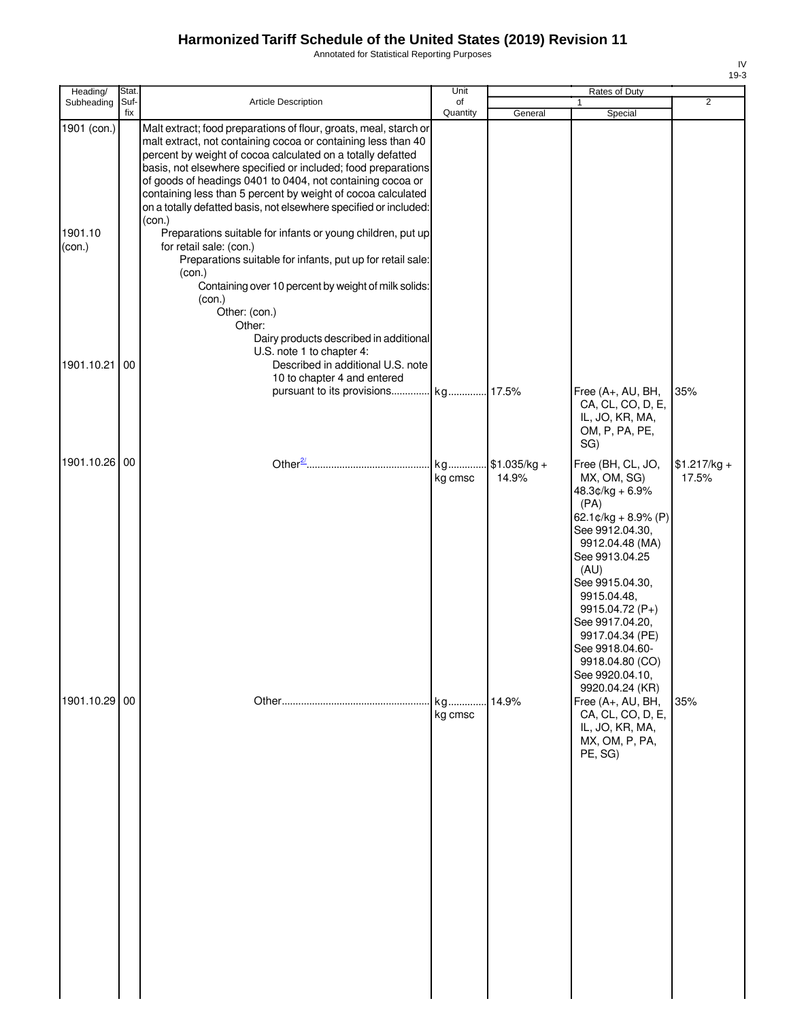Annotated for Statistical Reporting Purposes

| Heading/                         | Stat.       |                                                                                                                                                                                                                                                                                                                                                                                                                                                                                                                                                                                                                                                                                                                                                                                          | Unit           |                        | Rates of Duty                                                                                                                                                                                                                                                                                                                                                                     |                        |
|----------------------------------|-------------|------------------------------------------------------------------------------------------------------------------------------------------------------------------------------------------------------------------------------------------------------------------------------------------------------------------------------------------------------------------------------------------------------------------------------------------------------------------------------------------------------------------------------------------------------------------------------------------------------------------------------------------------------------------------------------------------------------------------------------------------------------------------------------------|----------------|------------------------|-----------------------------------------------------------------------------------------------------------------------------------------------------------------------------------------------------------------------------------------------------------------------------------------------------------------------------------------------------------------------------------|------------------------|
| Subheading                       | Suf-<br>fix | <b>Article Description</b>                                                                                                                                                                                                                                                                                                                                                                                                                                                                                                                                                                                                                                                                                                                                                               | of<br>Quantity | General                | Special                                                                                                                                                                                                                                                                                                                                                                           | $\overline{2}$         |
| 1901 (con.)<br>1901.10<br>(con.) |             | Malt extract; food preparations of flour, groats, meal, starch or<br>malt extract, not containing cocoa or containing less than 40<br>percent by weight of cocoa calculated on a totally defatted<br>basis, not elsewhere specified or included; food preparations<br>of goods of headings 0401 to 0404, not containing cocoa or<br>containing less than 5 percent by weight of cocoa calculated<br>on a totally defatted basis, not elsewhere specified or included:<br>(con.)<br>Preparations suitable for infants or young children, put up<br>for retail sale: (con.)<br>Preparations suitable for infants, put up for retail sale:<br>(con.)<br>Containing over 10 percent by weight of milk solids:<br>(con.)<br>Other: (con.)<br>Other:<br>Dairy products described in additional |                |                        |                                                                                                                                                                                                                                                                                                                                                                                   |                        |
| 1901.10.21                       | 00          | U.S. note 1 to chapter 4:<br>Described in additional U.S. note<br>10 to chapter 4 and entered<br>pursuant to its provisions                                                                                                                                                                                                                                                                                                                                                                                                                                                                                                                                                                                                                                                              | kg 17.5%       |                        | Free (A+, AU, BH,<br>CA, CL, CO, D, E,<br>IL, JO, KR, MA,<br>OM, P, PA, PE,                                                                                                                                                                                                                                                                                                       | 35%                    |
| 1901.10.26                       | 00          |                                                                                                                                                                                                                                                                                                                                                                                                                                                                                                                                                                                                                                                                                                                                                                                          | kg<br>kg cmsc  | $$1.035/kg +$<br>14.9% | SG)<br>Free (BH, CL, JO,<br>MX, OM, SG)                                                                                                                                                                                                                                                                                                                                           | $$1.217/kg +$<br>17.5% |
| 1901.10.29 00                    |             |                                                                                                                                                                                                                                                                                                                                                                                                                                                                                                                                                                                                                                                                                                                                                                                          | kg<br>kg cmsc  | 14.9%                  | $48.3¢/kg + 6.9%$<br>(PA)<br>62.1¢/kg + 8.9% (P)<br>See 9912.04.30,<br>9912.04.48 (MA)<br>See 9913.04.25<br>(AU)<br>See 9915.04.30,<br>9915.04.48,<br>9915.04.72 (P+)<br>See 9917.04.20,<br>9917.04.34 (PE)<br>See 9918.04.60-<br>9918.04.80 (CO)<br>See 9920.04.10,<br>9920.04.24 (KR)<br>Free (A+, AU, BH,<br>CA, CL, CO, D, E,<br>IL, JO, KR, MA,<br>MX, OM, P, PA,<br>PE, SG) | 35%                    |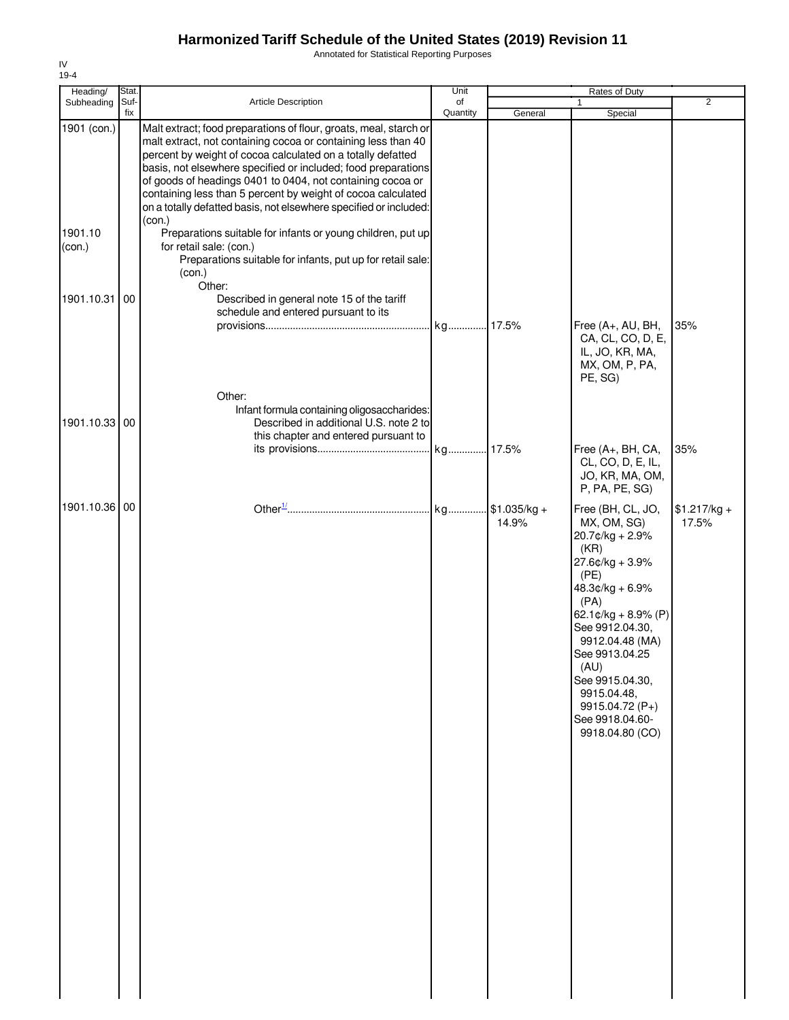Annotated for Statistical Reporting Purposes

| Heading/          | Stat.       |                                                                                                                                                                                                                                                                                                                                                                                                                                                                                 | Unit           |                          | Rates of Duty                                                                                                                                                                                                                                                                                         |                        |
|-------------------|-------------|---------------------------------------------------------------------------------------------------------------------------------------------------------------------------------------------------------------------------------------------------------------------------------------------------------------------------------------------------------------------------------------------------------------------------------------------------------------------------------|----------------|--------------------------|-------------------------------------------------------------------------------------------------------------------------------------------------------------------------------------------------------------------------------------------------------------------------------------------------------|------------------------|
| Subheading        | Suf-<br>fix | Article Description                                                                                                                                                                                                                                                                                                                                                                                                                                                             | of<br>Quantity | General                  | 1<br>Special                                                                                                                                                                                                                                                                                          | $\overline{2}$         |
| 1901 (con.)       |             | Malt extract; food preparations of flour, groats, meal, starch or<br>malt extract, not containing cocoa or containing less than 40<br>percent by weight of cocoa calculated on a totally defatted<br>basis, not elsewhere specified or included; food preparations<br>of goods of headings 0401 to 0404, not containing cocoa or<br>containing less than 5 percent by weight of cocoa calculated<br>on a totally defatted basis, not elsewhere specified or included:<br>(con.) |                |                          |                                                                                                                                                                                                                                                                                                       |                        |
| 1901.10<br>(con.) |             | Preparations suitable for infants or young children, put up<br>for retail sale: (con.)<br>Preparations suitable for infants, put up for retail sale:<br>(con.)<br>Other:                                                                                                                                                                                                                                                                                                        |                |                          |                                                                                                                                                                                                                                                                                                       |                        |
| 1901.10.31        | 00          | Described in general note 15 of the tariff<br>schedule and entered pursuant to its                                                                                                                                                                                                                                                                                                                                                                                              |                |                          | Free (A+, AU, BH,                                                                                                                                                                                                                                                                                     | 35%                    |
|                   |             | Other:                                                                                                                                                                                                                                                                                                                                                                                                                                                                          |                |                          | CA, CL, CO, D, E,<br>IL, JO, KR, MA,<br>MX, OM, P, PA,<br>PE, SG)                                                                                                                                                                                                                                     |                        |
| 1901.10.33 00     |             | Infant formula containing oligosaccharides:<br>Described in additional U.S. note 2 to<br>this chapter and entered pursuant to                                                                                                                                                                                                                                                                                                                                                   |                |                          |                                                                                                                                                                                                                                                                                                       |                        |
|                   |             |                                                                                                                                                                                                                                                                                                                                                                                                                                                                                 |                |                          | Free (A+, BH, CA,<br>CL, CO, D, E, IL,<br>JO, KR, MA, OM,<br>P, PA, PE, SG)                                                                                                                                                                                                                           | 35%                    |
| 1901.10.36 00     |             |                                                                                                                                                                                                                                                                                                                                                                                                                                                                                 |                | kg \$1.035/kg +<br>14.9% | Free (BH, CL, JO,<br>MX, OM, SG)<br>20.7¢/kg + 2.9%<br>(KR)<br>27.6¢/kg + 3.9%<br>(PE)<br>$48.3¢/kg + 6.9%$<br>(PA)<br>62.1¢/kg + 8.9% (P)<br>See 9912.04.30,<br>9912.04.48 (MA)<br>See 9913.04.25<br>(AU)<br>See 9915.04.30,<br>9915.04.48,<br>9915.04.72 (P+)<br>See 9918.04.60-<br>9918.04.80 (CO) | $$1.217/kg +$<br>17.5% |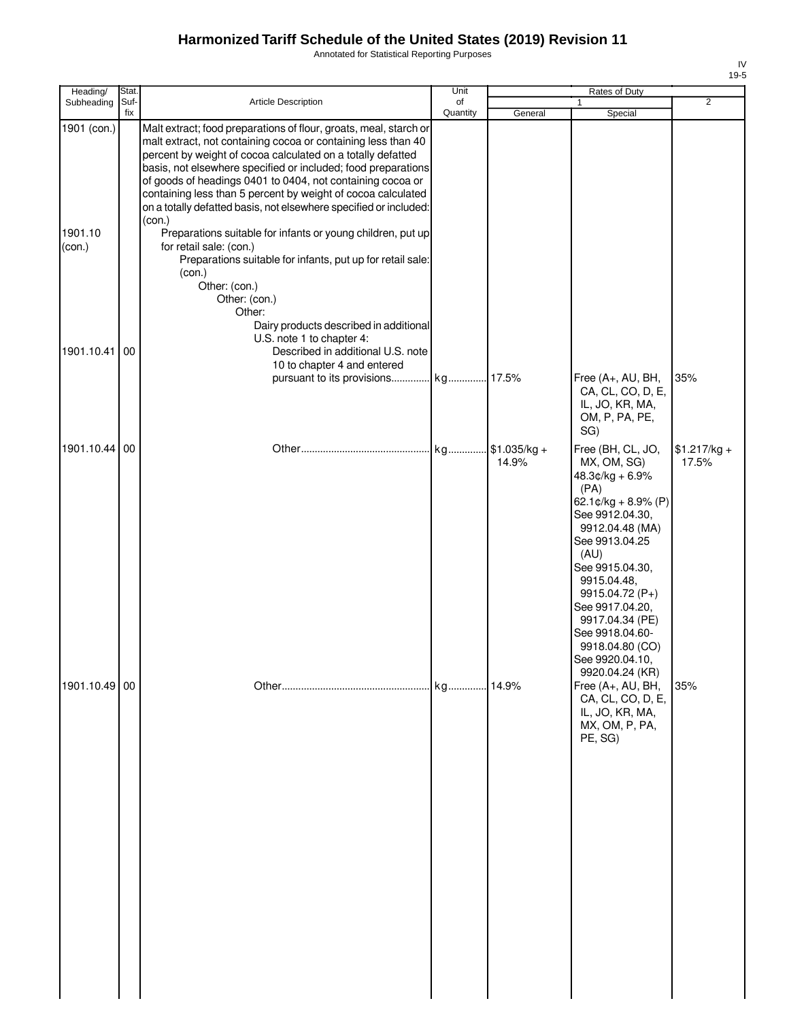Annotated for Statistical Reporting Purposes

| Heading/                         | Stat.       |                                                                                                                                                                                                                                                                                                                                                                                                                                                                                                                                                                                                                                                                                                                                         | Unit           |                           | Rates of Duty                                                                                                                                                                                                                                                                                            |                        |
|----------------------------------|-------------|-----------------------------------------------------------------------------------------------------------------------------------------------------------------------------------------------------------------------------------------------------------------------------------------------------------------------------------------------------------------------------------------------------------------------------------------------------------------------------------------------------------------------------------------------------------------------------------------------------------------------------------------------------------------------------------------------------------------------------------------|----------------|---------------------------|----------------------------------------------------------------------------------------------------------------------------------------------------------------------------------------------------------------------------------------------------------------------------------------------------------|------------------------|
| Subheading                       | Suf-<br>fix | Article Description                                                                                                                                                                                                                                                                                                                                                                                                                                                                                                                                                                                                                                                                                                                     | of<br>Quantity | General                   | Special                                                                                                                                                                                                                                                                                                  | $\overline{2}$         |
| 1901 (con.)<br>1901.10<br>(con.) |             | Malt extract; food preparations of flour, groats, meal, starch or<br>malt extract, not containing cocoa or containing less than 40<br>percent by weight of cocoa calculated on a totally defatted<br>basis, not elsewhere specified or included; food preparations<br>of goods of headings 0401 to 0404, not containing cocoa or<br>containing less than 5 percent by weight of cocoa calculated<br>on a totally defatted basis, not elsewhere specified or included:<br>(con.)<br>Preparations suitable for infants or young children, put up<br>for retail sale: (con.)<br>Preparations suitable for infants, put up for retail sale:<br>(con.)<br>Other: (con.)<br>Other: (con.)<br>Other:<br>Dairy products described in additional |                |                           |                                                                                                                                                                                                                                                                                                          |                        |
| 1901.10.41                       | 00          | U.S. note 1 to chapter 4:<br>Described in additional U.S. note                                                                                                                                                                                                                                                                                                                                                                                                                                                                                                                                                                                                                                                                          |                |                           |                                                                                                                                                                                                                                                                                                          |                        |
|                                  |             | 10 to chapter 4 and entered                                                                                                                                                                                                                                                                                                                                                                                                                                                                                                                                                                                                                                                                                                             |                |                           |                                                                                                                                                                                                                                                                                                          |                        |
|                                  |             | pursuant to its provisions kg 17.5%                                                                                                                                                                                                                                                                                                                                                                                                                                                                                                                                                                                                                                                                                                     |                |                           | Free (A+, AU, BH,<br>CA, CL, CO, D, E,<br>IL, JO, KR, MA,<br>OM, P, PA, PE,<br>SG)                                                                                                                                                                                                                       | 35%                    |
| 1901.10.44 00                    |             |                                                                                                                                                                                                                                                                                                                                                                                                                                                                                                                                                                                                                                                                                                                                         | kg             | $.$ \$1.035/kg +<br>14.9% | Free (BH, CL, JO,<br>MX, OM, SG)<br>$48.3¢/kg + 6.9%$<br>(PA)<br>62.1¢/kg + 8.9% (P)<br>See 9912.04.30,<br>9912.04.48 (MA)<br>See 9913.04.25<br>(AU)<br>See 9915.04.30,<br>9915.04.48,<br>9915.04.72 (P+)<br>See 9917.04.20,<br>9917.04.34 (PE)<br>See 9918.04.60-<br>9918.04.80 (CO)<br>See 9920.04.10, | $$1.217/kg +$<br>17.5% |
| 1901.10.49 00                    |             |                                                                                                                                                                                                                                                                                                                                                                                                                                                                                                                                                                                                                                                                                                                                         | kg 14.9%       |                           | 9920.04.24 (KR)<br>Free (A+, AU, BH,<br>CA, CL, CO, D, E,<br>IL, JO, KR, MA,<br>MX, OM, P, PA,<br>PE, SG)                                                                                                                                                                                                | 35%                    |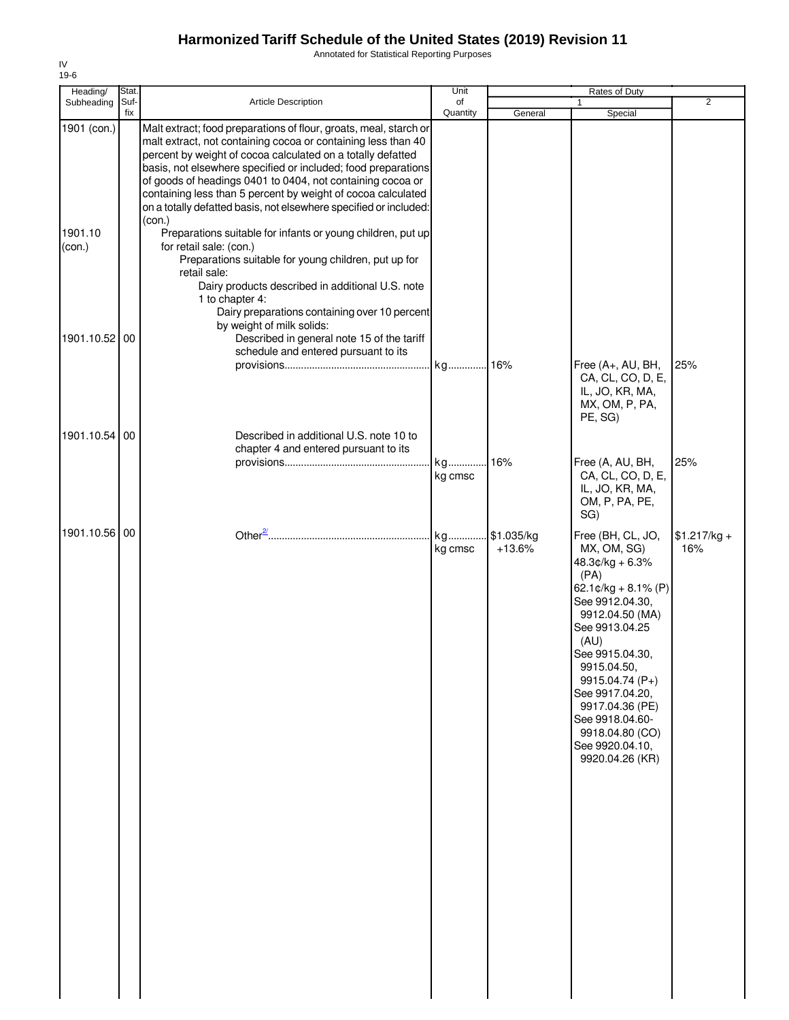Annotated for Statistical Reporting Purposes

| Heading/                         | Stat.       |                                                                                                                                                                                                                                                                                                                                                                                                                                                                                                                                                                                                                                                                                                                                                                                                        | Unit           |                        | <b>Rates of Duty</b>                                                                                                                                                                                                                                                                                                        |                      |
|----------------------------------|-------------|--------------------------------------------------------------------------------------------------------------------------------------------------------------------------------------------------------------------------------------------------------------------------------------------------------------------------------------------------------------------------------------------------------------------------------------------------------------------------------------------------------------------------------------------------------------------------------------------------------------------------------------------------------------------------------------------------------------------------------------------------------------------------------------------------------|----------------|------------------------|-----------------------------------------------------------------------------------------------------------------------------------------------------------------------------------------------------------------------------------------------------------------------------------------------------------------------------|----------------------|
| Subheading                       | Suf-<br>fix | <b>Article Description</b>                                                                                                                                                                                                                                                                                                                                                                                                                                                                                                                                                                                                                                                                                                                                                                             | of<br>Quantity | General                | 1<br>Special                                                                                                                                                                                                                                                                                                                | $\overline{2}$       |
| 1901 (con.)<br>1901.10<br>(con.) |             | Malt extract; food preparations of flour, groats, meal, starch or<br>malt extract, not containing cocoa or containing less than 40<br>percent by weight of cocoa calculated on a totally defatted<br>basis, not elsewhere specified or included; food preparations<br>of goods of headings 0401 to 0404, not containing cocoa or<br>containing less than 5 percent by weight of cocoa calculated<br>on a totally defatted basis, not elsewhere specified or included:<br>(con.)<br>Preparations suitable for infants or young children, put up<br>for retail sale: (con.)<br>Preparations suitable for young children, put up for<br>retail sale:<br>Dairy products described in additional U.S. note<br>1 to chapter 4:<br>Dairy preparations containing over 10 percent<br>by weight of milk solids: |                |                        |                                                                                                                                                                                                                                                                                                                             |                      |
| 1901.10.52 00                    |             | Described in general note 15 of the tariff<br>schedule and entered pursuant to its                                                                                                                                                                                                                                                                                                                                                                                                                                                                                                                                                                                                                                                                                                                     |                |                        |                                                                                                                                                                                                                                                                                                                             |                      |
|                                  |             |                                                                                                                                                                                                                                                                                                                                                                                                                                                                                                                                                                                                                                                                                                                                                                                                        | kg 16%         |                        | Free (A+, AU, BH,<br>CA, CL, CO, D, E,<br>IL, JO, KR, MA,<br>MX, OM, P, PA,<br>PE, SG)                                                                                                                                                                                                                                      | 25%                  |
| 1901.10.54 00                    |             | Described in additional U.S. note 10 to<br>chapter 4 and entered pursuant to its                                                                                                                                                                                                                                                                                                                                                                                                                                                                                                                                                                                                                                                                                                                       |                |                        |                                                                                                                                                                                                                                                                                                                             |                      |
|                                  |             |                                                                                                                                                                                                                                                                                                                                                                                                                                                                                                                                                                                                                                                                                                                                                                                                        | kg<br>kg cmsc  | 16%                    | Free (A, AU, BH,<br>CA, CL, CO, D, E,<br>IL, JO, KR, MA,<br>OM, P, PA, PE,<br>SG)                                                                                                                                                                                                                                           | 25%                  |
| 1901.10.56 00                    |             |                                                                                                                                                                                                                                                                                                                                                                                                                                                                                                                                                                                                                                                                                                                                                                                                        | kg<br>kg cmsc  | \$1.035/kg<br>$+13.6%$ | Free (BH, CL, JO,<br>MX, OM, SG)<br>$48.3¢/kg + 6.3%$<br>(PA)<br>62.1¢/kg + 8.1% (P)<br>See 9912.04.30,<br>9912.04.50 (MA)<br>See 9913.04.25<br>(AU)<br>See 9915.04.30,<br>9915.04.50,<br>9915.04.74 (P+)<br>See 9917.04.20,<br>9917.04.36 (PE)<br>See 9918.04.60-<br>9918.04.80 (CO)<br>See 9920.04.10,<br>9920.04.26 (KR) | $$1.217/kg +$<br>16% |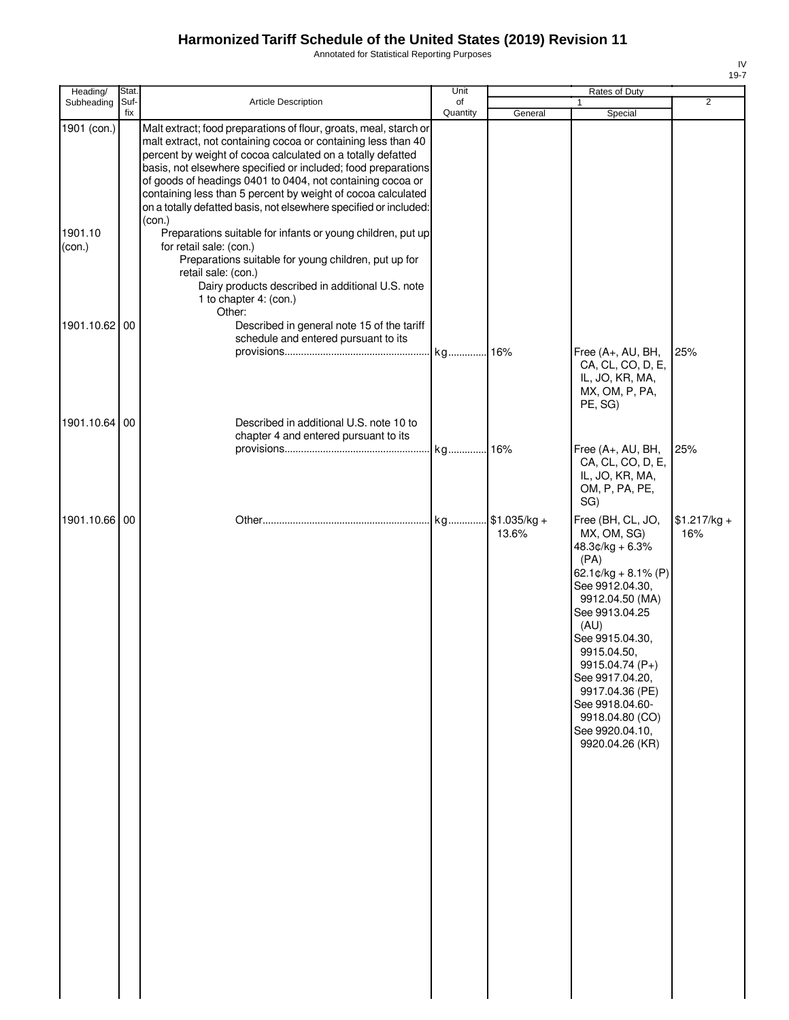Annotated for Statistical Reporting Purposes

| Heading/                         | Stat.       |                                                                                                                                                                                                                                                                                                                                                                                                                                                                                                                                                                           | Unit           |               | Rates of Duty                                                                                                                                                                                                                                                                                        |                |
|----------------------------------|-------------|---------------------------------------------------------------------------------------------------------------------------------------------------------------------------------------------------------------------------------------------------------------------------------------------------------------------------------------------------------------------------------------------------------------------------------------------------------------------------------------------------------------------------------------------------------------------------|----------------|---------------|------------------------------------------------------------------------------------------------------------------------------------------------------------------------------------------------------------------------------------------------------------------------------------------------------|----------------|
| Subheading                       | Suf-<br>fix | <b>Article Description</b>                                                                                                                                                                                                                                                                                                                                                                                                                                                                                                                                                | of<br>Quantity | General       | 1<br>Special                                                                                                                                                                                                                                                                                         | $\overline{2}$ |
| 1901 (con.)<br>1901.10<br>(con.) |             | Malt extract; food preparations of flour, groats, meal, starch or<br>malt extract, not containing cocoa or containing less than 40<br>percent by weight of cocoa calculated on a totally defatted<br>basis, not elsewhere specified or included; food preparations<br>of goods of headings 0401 to 0404, not containing cocoa or<br>containing less than 5 percent by weight of cocoa calculated<br>on a totally defatted basis, not elsewhere specified or included:<br>(con.)<br>Preparations suitable for infants or young children, put up<br>for retail sale: (con.) |                |               |                                                                                                                                                                                                                                                                                                      |                |
|                                  |             | Preparations suitable for young children, put up for<br>retail sale: (con.)<br>Dairy products described in additional U.S. note<br>1 to chapter 4: (con.)<br>Other:                                                                                                                                                                                                                                                                                                                                                                                                       |                |               |                                                                                                                                                                                                                                                                                                      |                |
| 1901.10.62 00                    |             | Described in general note 15 of the tariff<br>schedule and entered pursuant to its                                                                                                                                                                                                                                                                                                                                                                                                                                                                                        | kg 16%         |               | Free (A+, AU, BH,<br>CA, CL, CO, D, E,<br>IL, JO, KR, MA,<br>MX, OM, P, PA,<br>PE, SG)                                                                                                                                                                                                               | 25%            |
| 1901.10.64 00                    |             | Described in additional U.S. note 10 to<br>chapter 4 and entered pursuant to its                                                                                                                                                                                                                                                                                                                                                                                                                                                                                          |                |               | Free (A+, AU, BH,<br>CA, CL, CO, D, E,                                                                                                                                                                                                                                                               | 25%            |
| 1901.10.66 00                    |             |                                                                                                                                                                                                                                                                                                                                                                                                                                                                                                                                                                           |                | $$1.035/kg +$ | IL, JO, KR, MA,<br>OM, P, PA, PE,<br>SG)<br>Free (BH, CL, JO,                                                                                                                                                                                                                                        | $$1.217/kg +$  |
|                                  |             |                                                                                                                                                                                                                                                                                                                                                                                                                                                                                                                                                                           |                | 13.6%         | MX, OM, SG)<br>48.3¢/kg + 6.3%<br>(PA)<br>62.1¢/kg + 8.1% (P)<br>See 9912.04.30,<br>9912.04.50 (MA)<br>See 9913.04.25<br>(AU)<br>See 9915.04.30,<br>9915.04.50,<br>9915.04.74 (P+)<br>See 9917.04.20,<br>9917.04.36 (PE)<br>See 9918.04.60-<br>9918.04.80 (CO)<br>See 9920.04.10,<br>9920.04.26 (KR) | 16%            |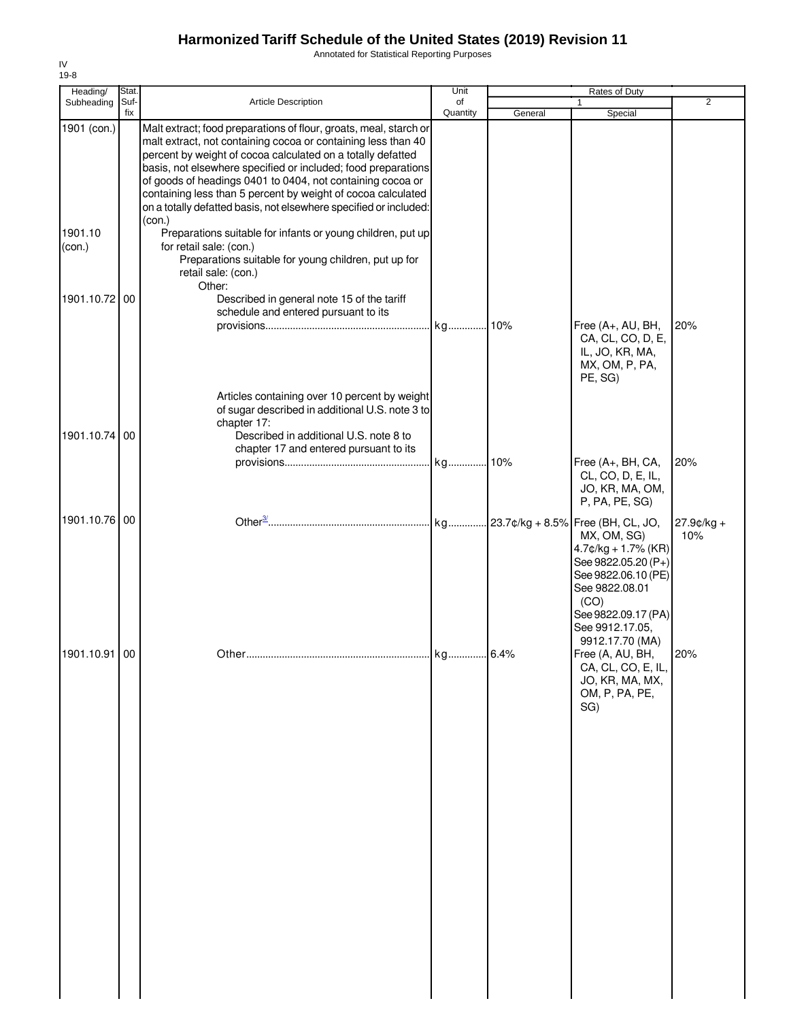Annotated for Statistical Reporting Purposes

| Heading/                                       | Stat.       |                                                                                                                                                                                                                                                                                                                                                                                                                                                                                                                                                                                                                                                                                                                  | Unit           |         | Rates of Duty                                                                                                                                           |                      |
|------------------------------------------------|-------------|------------------------------------------------------------------------------------------------------------------------------------------------------------------------------------------------------------------------------------------------------------------------------------------------------------------------------------------------------------------------------------------------------------------------------------------------------------------------------------------------------------------------------------------------------------------------------------------------------------------------------------------------------------------------------------------------------------------|----------------|---------|---------------------------------------------------------------------------------------------------------------------------------------------------------|----------------------|
| Subheading                                     | Suf-<br>fix | Article Description                                                                                                                                                                                                                                                                                                                                                                                                                                                                                                                                                                                                                                                                                              | of<br>Quantity | General | 1<br>Special                                                                                                                                            | $\overline{2}$       |
| 1901 (con.)<br>1901.10<br>(con.)<br>1901.10.72 | 00          | Malt extract; food preparations of flour, groats, meal, starch or<br>malt extract, not containing cocoa or containing less than 40<br>percent by weight of cocoa calculated on a totally defatted<br>basis, not elsewhere specified or included; food preparations<br>of goods of headings 0401 to 0404, not containing cocoa or<br>containing less than 5 percent by weight of cocoa calculated<br>on a totally defatted basis, not elsewhere specified or included:<br>(con.)<br>Preparations suitable for infants or young children, put up<br>for retail sale: (con.)<br>Preparations suitable for young children, put up for<br>retail sale: (con.)<br>Other:<br>Described in general note 15 of the tariff |                |         |                                                                                                                                                         |                      |
| 1901.10.74 00                                  |             | schedule and entered pursuant to its<br>Articles containing over 10 percent by weight<br>of sugar described in additional U.S. note 3 to<br>chapter 17:<br>Described in additional U.S. note 8 to                                                                                                                                                                                                                                                                                                                                                                                                                                                                                                                |                |         | Free (A+, AU, BH,<br>CA, CL, CO, D, E,<br>IL, JO, KR, MA,<br>MX, OM, P, PA,<br>PE, SG)                                                                  | 20%                  |
|                                                |             | chapter 17 and entered pursuant to its                                                                                                                                                                                                                                                                                                                                                                                                                                                                                                                                                                                                                                                                           |                |         | Free (A+, BH, CA,<br>CL, CO, D, E, IL,<br>JO, KR, MA, OM,<br>P, PA, PE, SG)                                                                             | 20%                  |
| 1901.10.76 00                                  |             |                                                                                                                                                                                                                                                                                                                                                                                                                                                                                                                                                                                                                                                                                                                  |                |         | MX, OM, SG)<br>$4.7$ ¢/kg + 1.7% (KR)<br>See 9822.05.20 (P+)<br>See 9822.06.10 (PE)<br>See 9822.08.01<br>(CO)<br>See 9822.09.17 (PA)<br>See 9912.17.05, | $27.9$ ¢/kg +<br>10% |
| 1901.10.91 00                                  |             |                                                                                                                                                                                                                                                                                                                                                                                                                                                                                                                                                                                                                                                                                                                  |                |         | 9912.17.70 (MA)<br>Free (A, AU, BH,<br>CA, CL, CO, E, IL,<br>JO, KR, MA, MX,<br>OM, P, PA, PE,<br>SG)                                                   | 20%                  |
|                                                |             |                                                                                                                                                                                                                                                                                                                                                                                                                                                                                                                                                                                                                                                                                                                  |                |         |                                                                                                                                                         |                      |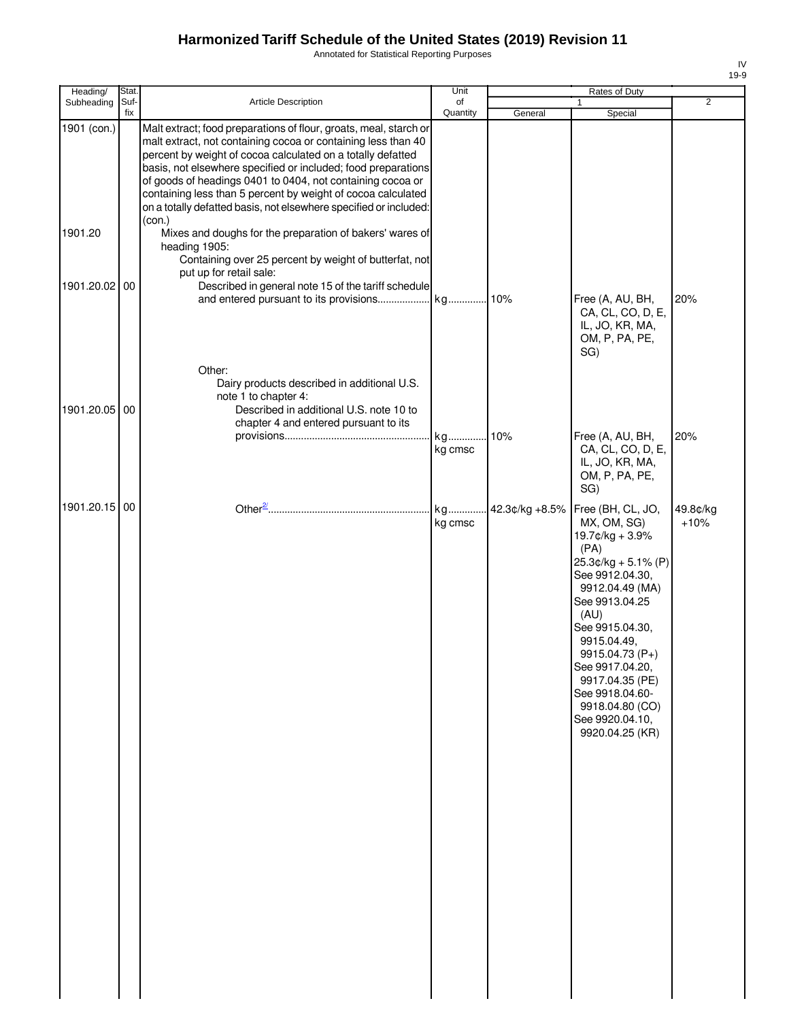Annotated for Statistical Reporting Purposes

| Heading/      | Stat.       |                                                                                                                                                                                                                                                                                                                                                                                                                                                                                 | Unit           |                | Rates of Duty                                                                                                                                                                                                                                                                                                             |                    |
|---------------|-------------|---------------------------------------------------------------------------------------------------------------------------------------------------------------------------------------------------------------------------------------------------------------------------------------------------------------------------------------------------------------------------------------------------------------------------------------------------------------------------------|----------------|----------------|---------------------------------------------------------------------------------------------------------------------------------------------------------------------------------------------------------------------------------------------------------------------------------------------------------------------------|--------------------|
| Subheading    | Suf-<br>fix | Article Description                                                                                                                                                                                                                                                                                                                                                                                                                                                             | of<br>Quantity | General        | 1<br>Special                                                                                                                                                                                                                                                                                                              | 2                  |
| 1901 (con.)   |             | Malt extract; food preparations of flour, groats, meal, starch or<br>malt extract, not containing cocoa or containing less than 40<br>percent by weight of cocoa calculated on a totally defatted<br>basis, not elsewhere specified or included; food preparations<br>of goods of headings 0401 to 0404, not containing cocoa or<br>containing less than 5 percent by weight of cocoa calculated<br>on a totally defatted basis, not elsewhere specified or included:<br>(con.) |                |                |                                                                                                                                                                                                                                                                                                                           |                    |
| 1901.20       |             | Mixes and doughs for the preparation of bakers' wares of<br>heading 1905:<br>Containing over 25 percent by weight of butterfat, not<br>put up for retail sale:                                                                                                                                                                                                                                                                                                                  |                |                |                                                                                                                                                                                                                                                                                                                           |                    |
| 1901.20.02 00 |             | Described in general note 15 of the tariff schedule                                                                                                                                                                                                                                                                                                                                                                                                                             |                |                | Free (A, AU, BH,<br>CA, CL, CO, D, E,<br>IL, JO, KR, MA,<br>OM, P, PA, PE,<br>SG)                                                                                                                                                                                                                                         | 20%                |
| 1901.20.05 00 |             | Other:<br>Dairy products described in additional U.S.<br>note 1 to chapter 4:<br>Described in additional U.S. note 10 to<br>chapter 4 and entered pursuant to its                                                                                                                                                                                                                                                                                                               |                |                |                                                                                                                                                                                                                                                                                                                           |                    |
|               |             |                                                                                                                                                                                                                                                                                                                                                                                                                                                                                 | kg<br>kg cmsc  | .10%           | Free (A, AU, BH,<br>CA, CL, CO, D, E,<br>IL, JO, KR, MA,<br>OM, P, PA, PE,<br>SG)                                                                                                                                                                                                                                         | 20%                |
| 1901.20.15 00 |             |                                                                                                                                                                                                                                                                                                                                                                                                                                                                                 | kg<br>kg cmsc  | 42.3¢/kg +8.5% | Free (BH, CL, JO,<br>MX, OM, SG)<br>19.7¢/kg + 3.9%<br>(PA)<br>25.3¢/kg + 5.1% (P)<br>See 9912.04.30,<br>9912.04.49 (MA)<br>See 9913.04.25<br>(AU)<br>See 9915.04.30,<br>9915.04.49,<br>9915.04.73 (P+)<br>See 9917.04.20,<br>9917.04.35 (PE)<br>See 9918.04.60-<br>9918.04.80 (CO)<br>See 9920.04.10,<br>9920.04.25 (KR) | 49.8¢/kg<br>$+10%$ |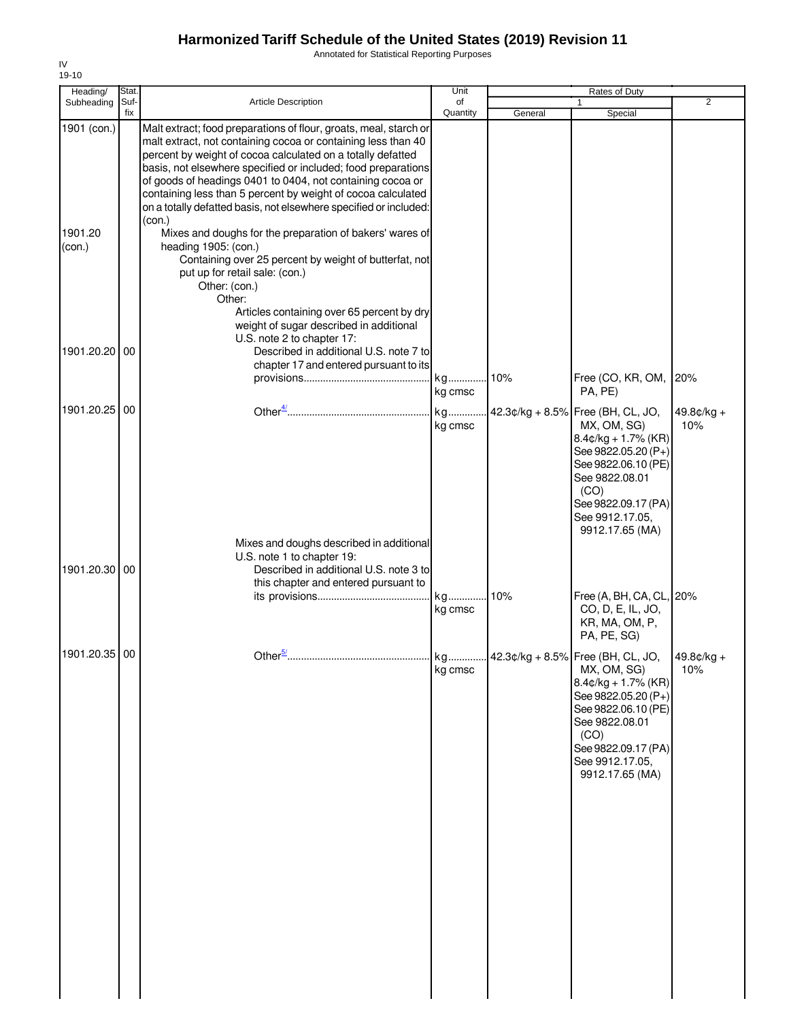Annotated for Statistical Reporting Purposes

| Heading/                         | Stat        |                                                                                                                                                                                                                                                                                                                                                                                                                                                                                                                                                                                                                                                                                                                                                                                                                   | Unit                     |         | Rates of Duty                                                                                                                                                                                                              |                     |
|----------------------------------|-------------|-------------------------------------------------------------------------------------------------------------------------------------------------------------------------------------------------------------------------------------------------------------------------------------------------------------------------------------------------------------------------------------------------------------------------------------------------------------------------------------------------------------------------------------------------------------------------------------------------------------------------------------------------------------------------------------------------------------------------------------------------------------------------------------------------------------------|--------------------------|---------|----------------------------------------------------------------------------------------------------------------------------------------------------------------------------------------------------------------------------|---------------------|
| Subheading                       | Suf-<br>fix | Article Description                                                                                                                                                                                                                                                                                                                                                                                                                                                                                                                                                                                                                                                                                                                                                                                               | of<br>Quantity           | General | Special                                                                                                                                                                                                                    | $\overline{2}$      |
| 1901 (con.)<br>1901.20<br>(con.) |             | Malt extract; food preparations of flour, groats, meal, starch or<br>malt extract, not containing cocoa or containing less than 40<br>percent by weight of cocoa calculated on a totally defatted<br>basis, not elsewhere specified or included; food preparations<br>of goods of headings 0401 to 0404, not containing cocoa or<br>containing less than 5 percent by weight of cocoa calculated<br>on a totally defatted basis, not elsewhere specified or included:<br>(con.)<br>Mixes and doughs for the preparation of bakers' wares of<br>heading 1905: (con.)<br>Containing over 25 percent by weight of butterfat, not<br>put up for retail sale: (con.)<br>Other: (con.)<br>Other:<br>Articles containing over 65 percent by dry<br>weight of sugar described in additional<br>U.S. note 2 to chapter 17: |                          |         |                                                                                                                                                                                                                            |                     |
| 1901.20.20                       | 00          | Described in additional U.S. note 7 to<br>chapter 17 and entered pursuant to its                                                                                                                                                                                                                                                                                                                                                                                                                                                                                                                                                                                                                                                                                                                                  | kg                       | .10%    | Free (CO, KR, OM,                                                                                                                                                                                                          | 20%                 |
| 1901.20.25                       | 00          |                                                                                                                                                                                                                                                                                                                                                                                                                                                                                                                                                                                                                                                                                                                                                                                                                   | kg cmsc<br>kg<br>kg cmsc |         | PA, PE)<br>42.3¢/kg + 8.5% Free (BH, CL, JO,<br>MX, OM, SG)<br>$8.4$ ¢/kg + 1.7% (KR)<br>See 9822.05.20 (P+)<br>See 9822.06.10 (PE)<br>See 9822.08.01<br>(CO)<br>See 9822.09.17 (PA)<br>See 9912.17.05,<br>9912.17.65 (MA) | $49.8¢/kg +$<br>10% |
| 1901.20.30                       | 00          | Mixes and doughs described in additional<br>U.S. note 1 to chapter 19:<br>Described in additional U.S. note 3 to<br>this chapter and entered pursuant to                                                                                                                                                                                                                                                                                                                                                                                                                                                                                                                                                                                                                                                          | kg<br>kg cmsc            | 10%     | Free (A, BH, CA, CL, 20%<br>CO, D, E, IL, JO,<br>KR, MA, OM, P,<br>PA, PE, SG)                                                                                                                                             |                     |
| 1901.20.35 00                    |             | Other $\frac{5}{2}$                                                                                                                                                                                                                                                                                                                                                                                                                                                                                                                                                                                                                                                                                                                                                                                               | kg.<br>kg cmsc           |         | 42.3¢/kg + 8.5% Free (BH, CL, JO, 49.8¢/kg +<br>MX, OM, SG)<br>$8.4$ ¢/kg + 1.7% (KR)<br>See 9822.05.20 (P+)<br>See 9822.06.10 (PE)<br>See 9822.08.01<br>(CO)<br>See 9822.09.17 (PA)<br>See 9912.17.05,<br>9912.17.65 (MA) | 10%                 |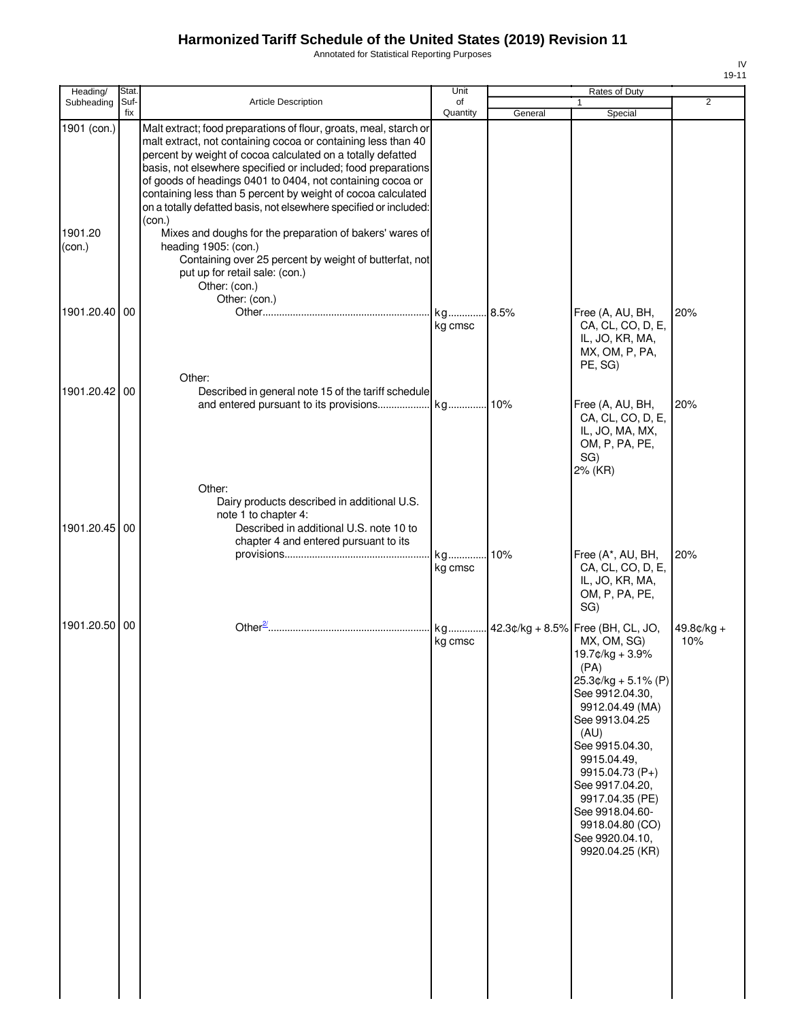Annotated for Statistical Reporting Purposes

| Heading/          | Stat.       |                                                                                                                                                                                                                                                                                                                                                                                                                                                                       | Unit           |         | Rates of Duty                                                                                                                                                                                                                                                                                                                               |                     |
|-------------------|-------------|-----------------------------------------------------------------------------------------------------------------------------------------------------------------------------------------------------------------------------------------------------------------------------------------------------------------------------------------------------------------------------------------------------------------------------------------------------------------------|----------------|---------|---------------------------------------------------------------------------------------------------------------------------------------------------------------------------------------------------------------------------------------------------------------------------------------------------------------------------------------------|---------------------|
| Subheading        | Suf-<br>fix | Article Description                                                                                                                                                                                                                                                                                                                                                                                                                                                   | of<br>Quantity | General | $\mathbf{1}$<br>Special                                                                                                                                                                                                                                                                                                                     | $\overline{2}$      |
| 1901 (con.)       |             | Malt extract; food preparations of flour, groats, meal, starch or<br>malt extract, not containing cocoa or containing less than 40<br>percent by weight of cocoa calculated on a totally defatted<br>basis, not elsewhere specified or included; food preparations<br>of goods of headings 0401 to 0404, not containing cocoa or<br>containing less than 5 percent by weight of cocoa calculated<br>on a totally defatted basis, not elsewhere specified or included: |                |         |                                                                                                                                                                                                                                                                                                                                             |                     |
| 1901.20<br>(con.) |             | (con.)<br>Mixes and doughs for the preparation of bakers' wares of<br>heading 1905: (con.)<br>Containing over 25 percent by weight of butterfat, not<br>put up for retail sale: (con.)<br>Other: (con.)<br>Other: (con.)                                                                                                                                                                                                                                              |                |         |                                                                                                                                                                                                                                                                                                                                             |                     |
| 1901.20.40        | 00          |                                                                                                                                                                                                                                                                                                                                                                                                                                                                       | kg cmsc        | .8.5%   | Free (A, AU, BH,<br>CA, CL, CO, D, E,<br>IL, JO, KR, MA,<br>MX, OM, P, PA,<br>PE, SG)                                                                                                                                                                                                                                                       | 20%                 |
| 1901.20.42 00     |             | Other:<br>Described in general note 15 of the tariff schedule                                                                                                                                                                                                                                                                                                                                                                                                         |                |         | Free (A, AU, BH,<br>CA, CL, CO, D, E,<br>IL, JO, MA, MX,<br>OM, P, PA, PE,<br>SG)<br>2% (KR)                                                                                                                                                                                                                                                | 20%                 |
| 1901.20.45 00     |             | Other:<br>Dairy products described in additional U.S.<br>note 1 to chapter 4:<br>Described in additional U.S. note 10 to<br>chapter 4 and entered pursuant to its                                                                                                                                                                                                                                                                                                     | kg<br>kg cmsc  | 10%     | Free (A*, AU, BH,<br>CA, CL, CO, D, E,                                                                                                                                                                                                                                                                                                      | 20%                 |
|                   |             |                                                                                                                                                                                                                                                                                                                                                                                                                                                                       |                |         | IL, JO, KR, MA,<br>OM, P, PA, PE,<br>SG)                                                                                                                                                                                                                                                                                                    |                     |
| 1901.20.50 00     |             |                                                                                                                                                                                                                                                                                                                                                                                                                                                                       | kg<br>kg cmsc  |         | 42.3¢/kg + 8.5% Free (BH, CL, JO,<br>MX, OM, SG)<br>19.7¢/kg + 3.9%<br>(PA)<br>$25.3¢/kg + 5.1% (P)$<br>See 9912.04.30,<br>9912.04.49 (MA)<br>See 9913.04.25<br>(AU)<br>See 9915.04.30,<br>9915.04.49,<br>9915.04.73 (P+)<br>See 9917.04.20.<br>9917.04.35 (PE)<br>See 9918.04.60-<br>9918.04.80 (CO)<br>See 9920.04.10,<br>9920.04.25 (KR) | $49.8¢/kg +$<br>10% |

IV 19-11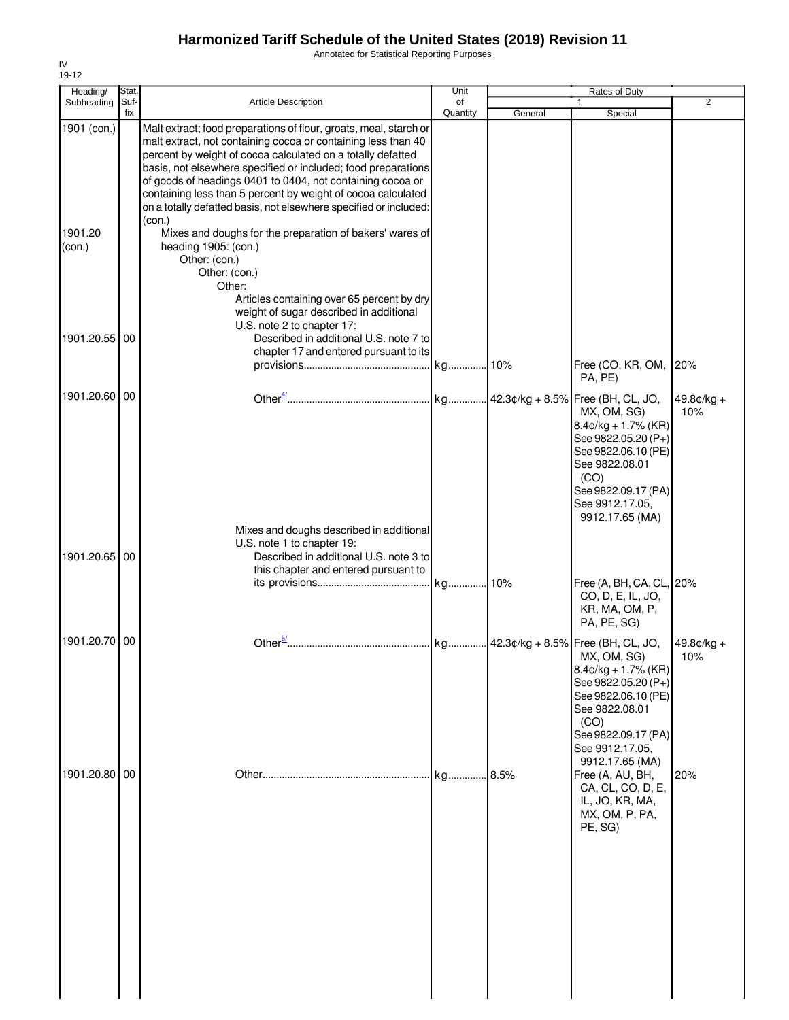Annotated for Statistical Reporting Purposes

| Heading/          | Stat. |                                                                                                                                    | Unit     |         | Rates of Duty                                                                                 |                     |
|-------------------|-------|------------------------------------------------------------------------------------------------------------------------------------|----------|---------|-----------------------------------------------------------------------------------------------|---------------------|
| Subheading        | Suf-  | Article Description                                                                                                                | of       |         |                                                                                               | $\overline{2}$      |
| 1901 (con.)       | fix   | Malt extract; food preparations of flour, groats, meal, starch or<br>malt extract, not containing cocoa or containing less than 40 | Quantity | General | Special                                                                                       |                     |
|                   |       | percent by weight of cocoa calculated on a totally defatted<br>basis, not elsewhere specified or included; food preparations       |          |         |                                                                                               |                     |
|                   |       | of goods of headings 0401 to 0404, not containing cocoa or<br>containing less than 5 percent by weight of cocoa calculated         |          |         |                                                                                               |                     |
|                   |       | on a totally defatted basis, not elsewhere specified or included:<br>(con.)                                                        |          |         |                                                                                               |                     |
| 1901.20<br>(con.) |       | Mixes and doughs for the preparation of bakers' wares of<br>heading 1905: (con.)<br>Other: (con.)                                  |          |         |                                                                                               |                     |
|                   |       | Other: (con.)<br>Other:                                                                                                            |          |         |                                                                                               |                     |
|                   |       | Articles containing over 65 percent by dry<br>weight of sugar described in additional<br>U.S. note 2 to chapter 17:                |          |         |                                                                                               |                     |
| 1901.20.55 00     |       | Described in additional U.S. note 7 to<br>chapter 17 and entered pursuant to its                                                   |          |         |                                                                                               |                     |
|                   |       |                                                                                                                                    |          |         | Free (CO, KR, OM, 20%<br>PA, PE)                                                              |                     |
| 1901.20.60 00     |       |                                                                                                                                    |          |         | MX, OM, SG)<br>$8.4$ ¢/kg + 1.7% (KR)<br>See 9822.05.20 (P+)<br>See 9822.06.10 (PE)           | $49.8¢/kg +$<br>10% |
|                   |       |                                                                                                                                    |          |         | See 9822.08.01<br>(CO)                                                                        |                     |
|                   |       |                                                                                                                                    |          |         | See 9822.09.17 (PA)<br>See 9912.17.05,<br>9912.17.65 (MA)                                     |                     |
|                   |       | Mixes and doughs described in additional<br>U.S. note 1 to chapter 19:                                                             |          |         |                                                                                               |                     |
| 1901.20.65 00     |       | Described in additional U.S. note 3 to<br>this chapter and entered pursuant to                                                     |          |         | Free (A, BH, CA, CL, 20%                                                                      |                     |
|                   |       |                                                                                                                                    |          |         | CO, D, E, IL, JO,<br>KR, MA, OM, P,<br>PA, PE, SG)                                            |                     |
| 1901.20.70 00     |       |                                                                                                                                    |          |         | MX, OM, SG)<br>$8.4$ ¢/kg + 1.7% (KR)                                                         | $49.8¢/kg +$<br>10% |
|                   |       |                                                                                                                                    |          |         | See 9822.05.20 (P+)<br>See 9822.06.10 (PE)<br>See 9822.08.01                                  |                     |
|                   |       |                                                                                                                                    |          |         | (CO)<br>See 9822.09.17 (PA)<br>See 9912.17.05,                                                |                     |
| 1901.20.80 00     |       |                                                                                                                                    | kg       | .8.5%   | 9912.17.65 (MA)<br>Free (A, AU, BH,<br>CA, CL, CO, D, E,<br>IL, JO, KR, MA,<br>MX, OM, P, PA, | 20%                 |
|                   |       |                                                                                                                                    |          |         | PE, SG)                                                                                       |                     |
|                   |       |                                                                                                                                    |          |         |                                                                                               |                     |
|                   |       |                                                                                                                                    |          |         |                                                                                               |                     |
|                   |       |                                                                                                                                    |          |         |                                                                                               |                     |
|                   |       |                                                                                                                                    |          |         |                                                                                               |                     |
|                   |       |                                                                                                                                    |          |         |                                                                                               |                     |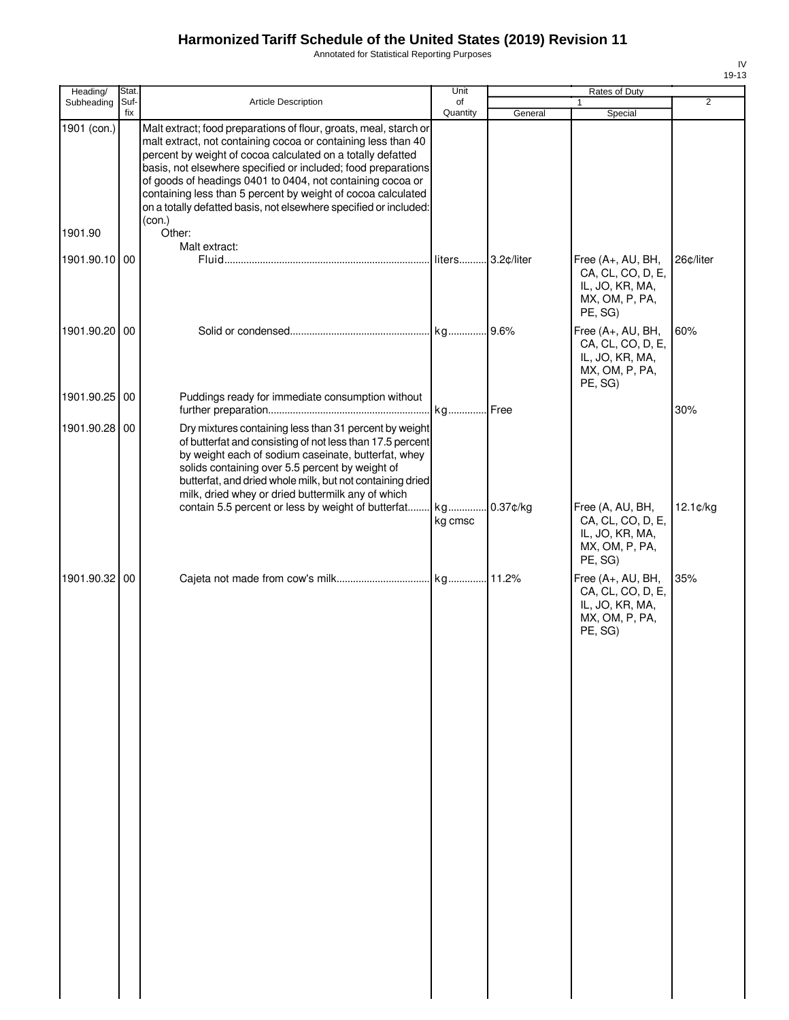Annotated for Statistical Reporting Purposes

| Heading/      | Stat. |                                                                                                                                                                                                                                                                                                                                                                                                                                                                       | Unit     |          | Rates of Duty                                                                          |                |
|---------------|-------|-----------------------------------------------------------------------------------------------------------------------------------------------------------------------------------------------------------------------------------------------------------------------------------------------------------------------------------------------------------------------------------------------------------------------------------------------------------------------|----------|----------|----------------------------------------------------------------------------------------|----------------|
| Subheading    | Suf-  | Article Description                                                                                                                                                                                                                                                                                                                                                                                                                                                   | of       |          | 1                                                                                      | $\overline{2}$ |
| 1901 (con.)   | fix   | Malt extract; food preparations of flour, groats, meal, starch or<br>malt extract, not containing cocoa or containing less than 40<br>percent by weight of cocoa calculated on a totally defatted<br>basis, not elsewhere specified or included; food preparations<br>of goods of headings 0401 to 0404, not containing cocoa or<br>containing less than 5 percent by weight of cocoa calculated<br>on a totally defatted basis, not elsewhere specified or included: | Quantity | General  | Special                                                                                |                |
| 1901.90       |       | (con.)<br>Other:<br>Malt extract:                                                                                                                                                                                                                                                                                                                                                                                                                                     |          |          |                                                                                        |                |
| 1901.90.10 00 |       |                                                                                                                                                                                                                                                                                                                                                                                                                                                                       |          |          | Free (A+, AU, BH,<br>CA, CL, CO, D, E,<br>IL, JO, KR, MA,<br>MX, OM, P, PA,<br>PE, SG) | 26¢/liter      |
| 1901.90.20 00 |       |                                                                                                                                                                                                                                                                                                                                                                                                                                                                       |          |          | Free (A+, AU, BH,<br>CA, CL, CO, D, E,<br>IL, JO, KR, MA,<br>MX, OM, P, PA,<br>PE, SG) | 60%            |
| 1901.90.25    | 00    | Puddings ready for immediate consumption without                                                                                                                                                                                                                                                                                                                                                                                                                      |          |          |                                                                                        |                |
| 1901.90.28 00 |       | Dry mixtures containing less than 31 percent by weight<br>of butterfat and consisting of not less than 17.5 percent<br>by weight each of sodium caseinate, butterfat, whey<br>solids containing over 5.5 percent by weight of<br>butterfat, and dried whole milk, but not containing dried<br>milk, dried whey or dried buttermilk any of which                                                                                                                       |          |          |                                                                                        | 30%            |
|               |       | contain 5.5 percent or less by weight of butterfat kg                                                                                                                                                                                                                                                                                                                                                                                                                 | kg cmsc  | 0.37¢/kg | Free (A, AU, BH,<br>CA, CL, CO, D, E,<br>IL, JO, KR, MA,<br>MX, OM, P, PA,<br>PE, SG)  | 12.1¢/kg       |
| 1901.90.32 00 |       |                                                                                                                                                                                                                                                                                                                                                                                                                                                                       |          |          | Free (A+, AU, BH,<br>CA, CL, CO, D, E,<br>IL, JO, KR, MA,<br>MX, OM, P, PA,<br>PE, SG) | 35%            |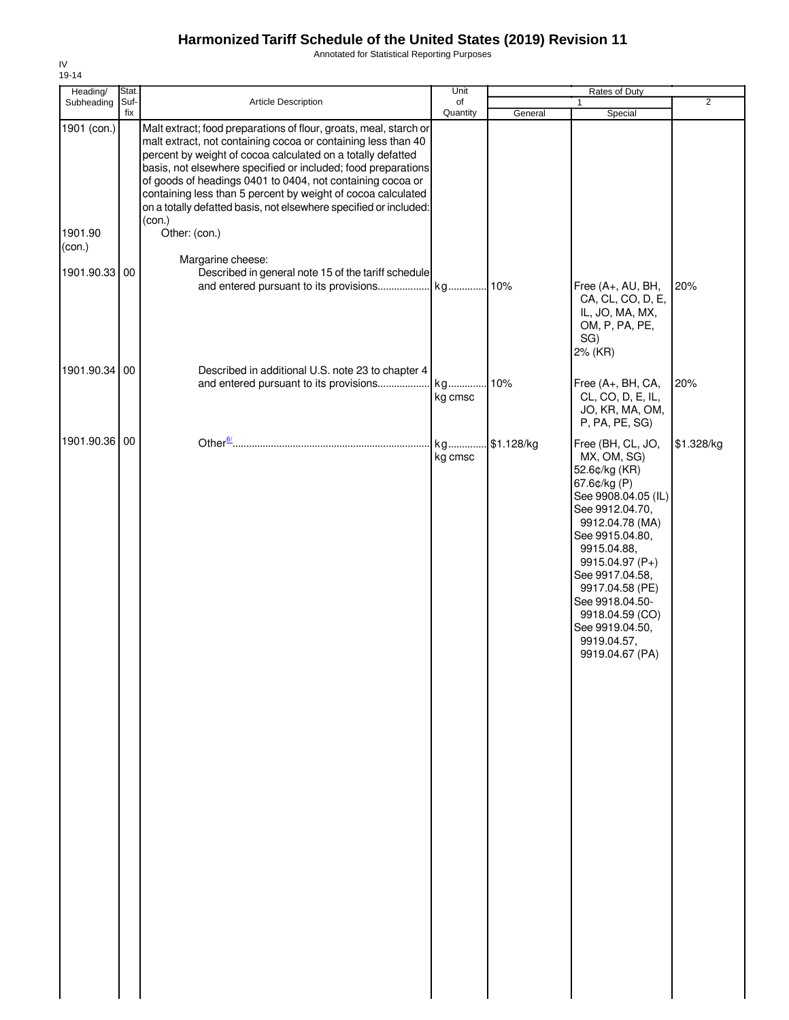Annotated for Statistical Reporting Purposes

| Heading/          | <b>Stat</b> |                                                                                                                                                                                                                                                                                                                                                                                                                                                                                 | Unit           |            | Rates of Duty                                                                                                                                                                                                                                                                                                        |                |
|-------------------|-------------|---------------------------------------------------------------------------------------------------------------------------------------------------------------------------------------------------------------------------------------------------------------------------------------------------------------------------------------------------------------------------------------------------------------------------------------------------------------------------------|----------------|------------|----------------------------------------------------------------------------------------------------------------------------------------------------------------------------------------------------------------------------------------------------------------------------------------------------------------------|----------------|
| Subheading        | Suf-<br>fix | Article Description                                                                                                                                                                                                                                                                                                                                                                                                                                                             | of<br>Quantity | General    | $\mathbf{1}$<br>Special                                                                                                                                                                                                                                                                                              | $\overline{2}$ |
| 1901 (con.)       |             | Malt extract; food preparations of flour, groats, meal, starch or<br>malt extract, not containing cocoa or containing less than 40<br>percent by weight of cocoa calculated on a totally defatted<br>basis, not elsewhere specified or included; food preparations<br>of goods of headings 0401 to 0404, not containing cocoa or<br>containing less than 5 percent by weight of cocoa calculated<br>on a totally defatted basis, not elsewhere specified or included:<br>(con.) |                |            |                                                                                                                                                                                                                                                                                                                      |                |
| 1901.90<br>(con.) |             | Other: (con.)                                                                                                                                                                                                                                                                                                                                                                                                                                                                   |                |            |                                                                                                                                                                                                                                                                                                                      |                |
| 1901.90.33        | 00          | Margarine cheese:<br>Described in general note 15 of the tariff schedule<br>and entered pursuant to its provisions                                                                                                                                                                                                                                                                                                                                                              | kg 10%         |            | Free (A+, AU, BH,<br>CA, CL, CO, D, E,<br>IL, JO, MA, MX,<br>OM, P, PA, PE,<br>SG)<br>2% (KR)                                                                                                                                                                                                                        | 20%            |
| 1901.90.34 00     |             | Described in additional U.S. note 23 to chapter 4                                                                                                                                                                                                                                                                                                                                                                                                                               |                |            |                                                                                                                                                                                                                                                                                                                      |                |
|                   |             | and entered pursuant to its provisions                                                                                                                                                                                                                                                                                                                                                                                                                                          | kg<br>kg cmsc  | 10%        | Free (A+, BH, CA,<br>CL, CO, D, E, IL,<br>JO, KR, MA, OM,<br>P, PA, PE, SG)                                                                                                                                                                                                                                          | 20%            |
| 1901.90.36        | 00          |                                                                                                                                                                                                                                                                                                                                                                                                                                                                                 | kg<br>kg cmsc  | \$1.128/kg | Free (BH, CL, JO,<br>MX, OM, SG)<br>52.6¢/kg (KR)<br>67.6¢/kg (P)<br>See 9908.04.05 (IL)<br>See 9912.04.70,<br>9912.04.78 (MA)<br>See 9915.04.80,<br>9915.04.88,<br>9915.04.97 (P+)<br>See 9917.04.58,<br>9917.04.58 (PE)<br>See 9918.04.50-<br>9918.04.59 (CO)<br>See 9919.04.50,<br>9919.04.57,<br>9919.04.67 (PA) | \$1.328/kg     |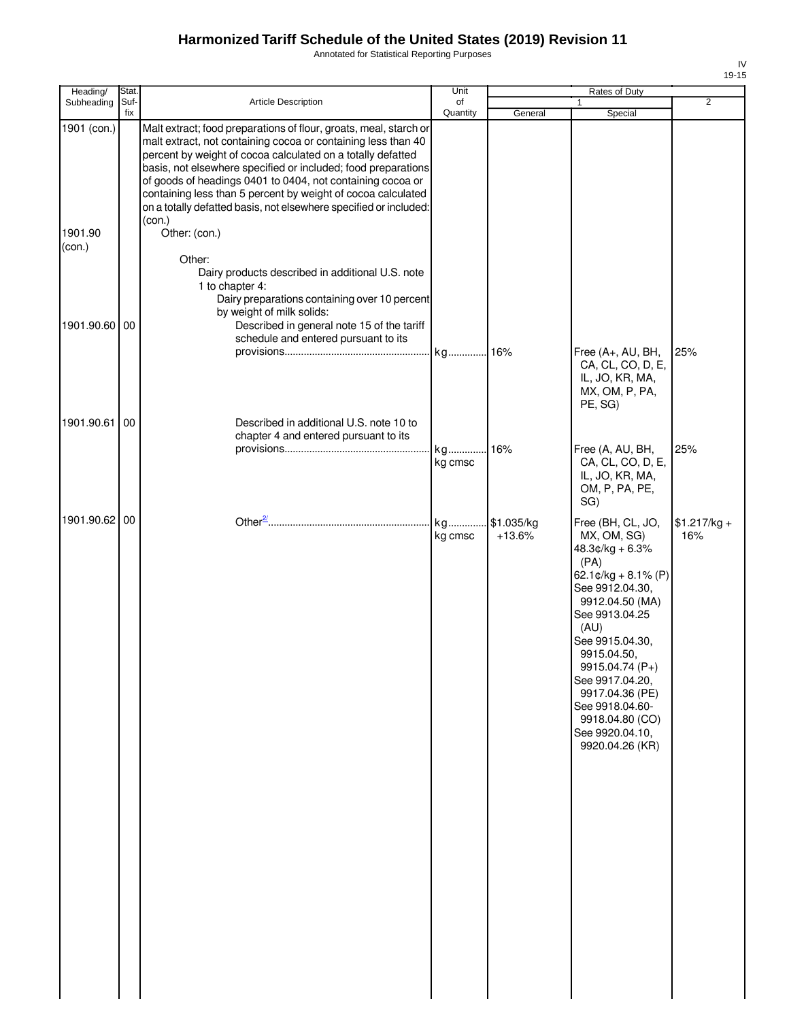Annotated for Statistical Reporting Purposes

| Heading/          | Stat.       |                                                                                                                                                                                                                                                                                                                                                                                                                                                                       | Unit           |                        | Rates of Duty                                                                                                                                                                                                                                                                                                               |                      |
|-------------------|-------------|-----------------------------------------------------------------------------------------------------------------------------------------------------------------------------------------------------------------------------------------------------------------------------------------------------------------------------------------------------------------------------------------------------------------------------------------------------------------------|----------------|------------------------|-----------------------------------------------------------------------------------------------------------------------------------------------------------------------------------------------------------------------------------------------------------------------------------------------------------------------------|----------------------|
| Subheading        | Suf-<br>fix | Article Description                                                                                                                                                                                                                                                                                                                                                                                                                                                   | of<br>Quantity | General                | 1<br>Special                                                                                                                                                                                                                                                                                                                | 2                    |
| 1901 (con.)       |             | Malt extract; food preparations of flour, groats, meal, starch or<br>malt extract, not containing cocoa or containing less than 40<br>percent by weight of cocoa calculated on a totally defatted<br>basis, not elsewhere specified or included; food preparations<br>of goods of headings 0401 to 0404, not containing cocoa or<br>containing less than 5 percent by weight of cocoa calculated<br>on a totally defatted basis, not elsewhere specified or included: |                |                        |                                                                                                                                                                                                                                                                                                                             |                      |
| 1901.90<br>(con.) |             | (con.)<br>Other: (con.)<br>Other:                                                                                                                                                                                                                                                                                                                                                                                                                                     |                |                        |                                                                                                                                                                                                                                                                                                                             |                      |
| 1901.90.60 00     |             | Dairy products described in additional U.S. note<br>1 to chapter 4:<br>Dairy preparations containing over 10 percent<br>by weight of milk solids:<br>Described in general note 15 of the tariff<br>schedule and entered pursuant to its                                                                                                                                                                                                                               |                |                        |                                                                                                                                                                                                                                                                                                                             |                      |
|                   |             |                                                                                                                                                                                                                                                                                                                                                                                                                                                                       | kg 16%         |                        | Free (A+, AU, BH,<br>CA, CL, CO, D, E,<br>IL, JO, KR, MA,<br>MX, OM, P, PA,<br>PE, SG)                                                                                                                                                                                                                                      | 25%                  |
| 1901.90.61        | 00          | Described in additional U.S. note 10 to<br>chapter 4 and entered pursuant to its                                                                                                                                                                                                                                                                                                                                                                                      | kg             | 16%                    | Free (A, AU, BH,                                                                                                                                                                                                                                                                                                            | 25%                  |
|                   |             |                                                                                                                                                                                                                                                                                                                                                                                                                                                                       | kg cmsc        |                        | CA, CL, CO, D, E,<br>IL, JO, KR, MA,<br>OM, P, PA, PE,<br>SG)                                                                                                                                                                                                                                                               |                      |
| 1901.90.62 00     |             |                                                                                                                                                                                                                                                                                                                                                                                                                                                                       | kg<br>kg cmsc  | \$1.035/kg<br>$+13.6%$ | Free (BH, CL, JO,<br>MX, OM, SG)<br>$48.3¢/kg + 6.3%$<br>(PA)<br>62.1¢/kg + 8.1% (P)<br>See 9912.04.30,<br>9912.04.50 (MA)<br>See 9913.04.25<br>(AU)<br>See 9915.04.30,<br>9915.04.50,<br>9915.04.74 (P+)<br>See 9917.04.20,<br>9917.04.36 (PE)<br>See 9918.04.60-<br>9918.04.80 (CO)<br>See 9920.04.10,<br>9920.04.26 (KR) | $$1.217/kg +$<br>16% |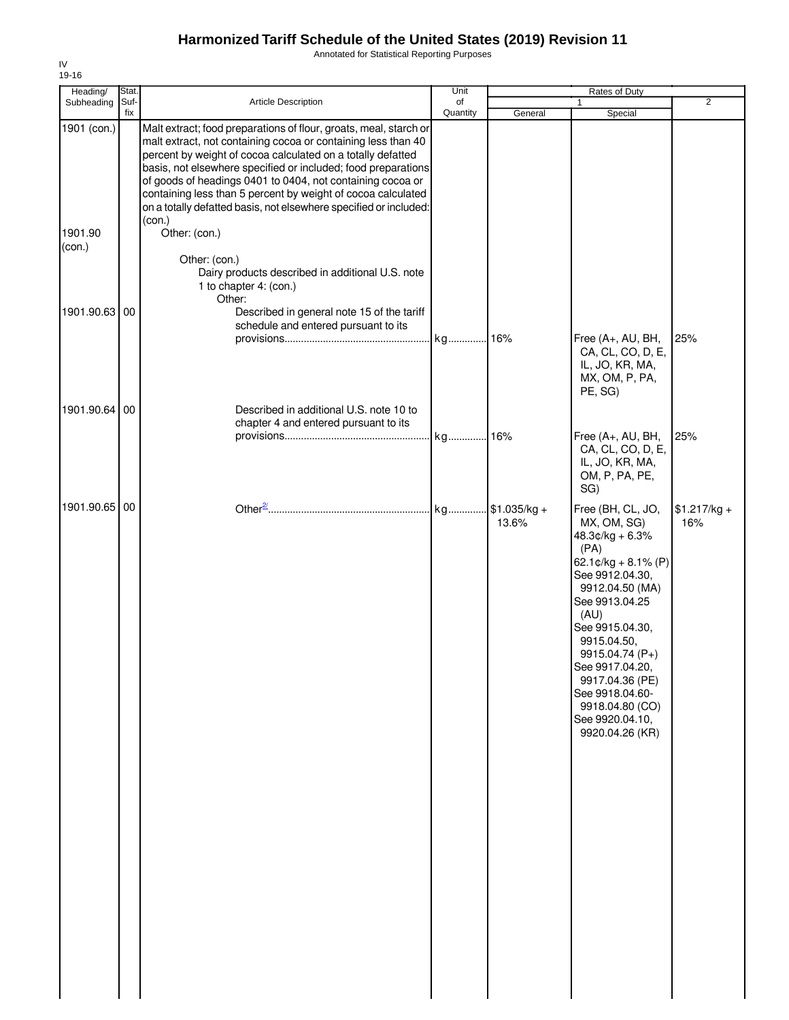Annotated for Statistical Reporting Purposes

| Heading/          | Stat.       |                                                                                                                                                                                                                                                                                                                                                                                                                                                                                 | Unit           |                        | Rates of Duty                                                                                                                                                                                                                                                                                                               |                      |
|-------------------|-------------|---------------------------------------------------------------------------------------------------------------------------------------------------------------------------------------------------------------------------------------------------------------------------------------------------------------------------------------------------------------------------------------------------------------------------------------------------------------------------------|----------------|------------------------|-----------------------------------------------------------------------------------------------------------------------------------------------------------------------------------------------------------------------------------------------------------------------------------------------------------------------------|----------------------|
| Subheading        | Suf-<br>fix | Article Description                                                                                                                                                                                                                                                                                                                                                                                                                                                             | of<br>Quantity | General                | $\mathbf{1}$<br>Special                                                                                                                                                                                                                                                                                                     | $\overline{2}$       |
| 1901 (con.)       |             | Malt extract; food preparations of flour, groats, meal, starch or<br>malt extract, not containing cocoa or containing less than 40<br>percent by weight of cocoa calculated on a totally defatted<br>basis, not elsewhere specified or included; food preparations<br>of goods of headings 0401 to 0404, not containing cocoa or<br>containing less than 5 percent by weight of cocoa calculated<br>on a totally defatted basis, not elsewhere specified or included:<br>(con.) |                |                        |                                                                                                                                                                                                                                                                                                                             |                      |
| 1901.90<br>(con.) |             | Other: (con.)<br>Other: (con.)<br>Dairy products described in additional U.S. note<br>1 to chapter 4: (con.)<br>Other:                                                                                                                                                                                                                                                                                                                                                          |                |                        |                                                                                                                                                                                                                                                                                                                             |                      |
| 1901.90.63        | 00          | Described in general note 15 of the tariff<br>schedule and entered pursuant to its                                                                                                                                                                                                                                                                                                                                                                                              | kg 16%         |                        | Free (A+, AU, BH,                                                                                                                                                                                                                                                                                                           | 25%                  |
| 1901.90.64        | 00          | Described in additional U.S. note 10 to                                                                                                                                                                                                                                                                                                                                                                                                                                         |                |                        | CA, CL, CO, D, E,<br>IL, JO, KR, MA,<br>MX, OM, P, PA,<br>PE, SG)                                                                                                                                                                                                                                                           |                      |
|                   |             | chapter 4 and entered pursuant to its                                                                                                                                                                                                                                                                                                                                                                                                                                           |                |                        |                                                                                                                                                                                                                                                                                                                             |                      |
|                   |             |                                                                                                                                                                                                                                                                                                                                                                                                                                                                                 | kg 16%         |                        | Free (A+, AU, BH,<br>CA, CL, CO, D, E,<br>IL, JO, KR, MA,<br>OM, P, PA, PE,<br>SG)                                                                                                                                                                                                                                          | 25%                  |
| 1901.90.65 00     |             |                                                                                                                                                                                                                                                                                                                                                                                                                                                                                 | kg             | $$1.035/kg +$<br>13.6% | Free (BH, CL, JO,<br>MX, OM, SG)<br>$48.3¢/kg + 6.3%$<br>(PA)<br>62.1¢/kg + 8.1% (P)<br>See 9912.04.30,<br>9912.04.50 (MA)<br>See 9913.04.25<br>(AU)<br>See 9915.04.30,<br>9915.04.50,<br>9915.04.74 (P+)<br>See 9917.04.20,<br>9917.04.36 (PE)<br>See 9918.04.60-<br>9918.04.80 (CO)<br>See 9920.04.10,<br>9920.04.26 (KR) | $$1.217/kg +$<br>16% |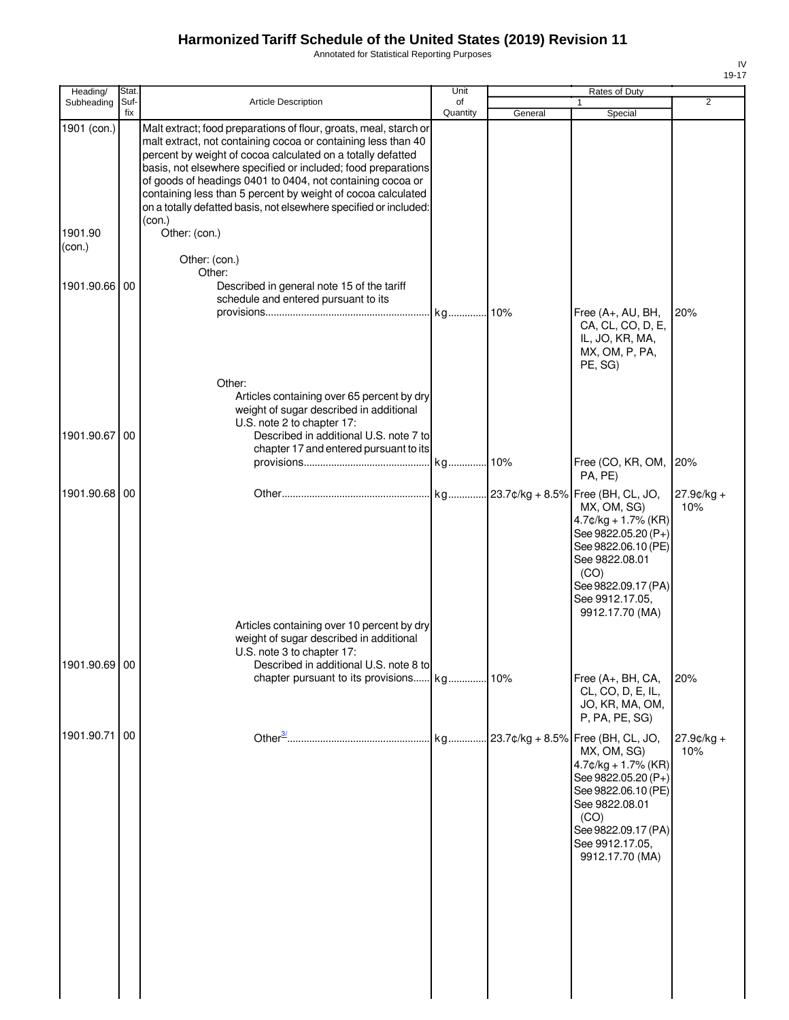Annotated for Statistical Reporting Purposes

| Heading/                         | Stat.       |                                                                                                                                                                                                                                                                                                                                                                                                                                                                                                  | Unit           |         | Rates of Duty                                                                                                                                                                                                   |                     |
|----------------------------------|-------------|--------------------------------------------------------------------------------------------------------------------------------------------------------------------------------------------------------------------------------------------------------------------------------------------------------------------------------------------------------------------------------------------------------------------------------------------------------------------------------------------------|----------------|---------|-----------------------------------------------------------------------------------------------------------------------------------------------------------------------------------------------------------------|---------------------|
| Subheading                       | Suf-<br>fix | Article Description                                                                                                                                                                                                                                                                                                                                                                                                                                                                              | of<br>Quantity | General | $\mathbf{1}$<br>Special                                                                                                                                                                                         | 2                   |
| 1901 (con.)<br>1901.90<br>(con.) |             | Malt extract; food preparations of flour, groats, meal, starch or<br>malt extract, not containing cocoa or containing less than 40<br>percent by weight of cocoa calculated on a totally defatted<br>basis, not elsewhere specified or included; food preparations<br>of goods of headings 0401 to 0404, not containing cocoa or<br>containing less than 5 percent by weight of cocoa calculated<br>on a totally defatted basis, not elsewhere specified or included:<br>(con.)<br>Other: (con.) |                |         |                                                                                                                                                                                                                 |                     |
|                                  |             | Other: (con.)                                                                                                                                                                                                                                                                                                                                                                                                                                                                                    |                |         |                                                                                                                                                                                                                 |                     |
| 1901.90.66 00                    |             | Other:<br>Described in general note 15 of the tariff<br>schedule and entered pursuant to its                                                                                                                                                                                                                                                                                                                                                                                                     |                |         | Free (A+, AU, BH,<br>CA, CL, CO, D, E,<br>IL, JO, KR, MA,<br>MX, OM, P, PA,<br>PE, SG)                                                                                                                          | 20%                 |
| 1901.90.67 00                    |             | Other:<br>Articles containing over 65 percent by dry<br>weight of sugar described in additional<br>U.S. note 2 to chapter 17:<br>Described in additional U.S. note 7 to<br>chapter 17 and entered pursuant to its                                                                                                                                                                                                                                                                                |                |         |                                                                                                                                                                                                                 |                     |
|                                  |             |                                                                                                                                                                                                                                                                                                                                                                                                                                                                                                  | kg 10%         |         | Free (CO, KR, OM,<br>PA, PE)                                                                                                                                                                                    | 20%                 |
| 1901.90.68 00                    |             | Articles containing over 10 percent by dry<br>weight of sugar described in additional<br>U.S. note 3 to chapter 17:                                                                                                                                                                                                                                                                                                                                                                              |                |         | 23.7¢/kg + 8.5% Free (BH, CL, JO,<br>MX, OM, SG)<br>$4.7$ ¢/kg + 1.7% (KR)<br>See 9822.05.20 (P+)<br>See 9822.06.10 (PE)<br>See 9822.08.01<br>(CO)<br>See 9822.09.17 (PA)<br>See 9912.17.05,<br>9912.17.70 (MA) | 27.9¢/kg +<br>10%   |
| 1901.90.69 00                    |             | Described in additional U.S. note 8 to                                                                                                                                                                                                                                                                                                                                                                                                                                                           |                |         | Free (A+, BH, CA,<br>CL, CO, D, E, IL,<br>JO, KR, MA, OM,<br>P, PA, PE, SG)                                                                                                                                     | 20%                 |
| 1901.90.71                       | 00          |                                                                                                                                                                                                                                                                                                                                                                                                                                                                                                  | kg             |         | 23.7¢/kg + 8.5% Free (BH, CL, JO,<br>MX, OM, SG)<br>$4.7$ ¢/kg + 1.7% (KR)<br>See 9822.05.20 (P+)<br>See 9822.06.10 (PE)<br>See 9822.08.01<br>(CO)<br>See 9822.09.17 (PA)<br>See 9912.17.05,<br>9912.17.70 (MA) | $27.9¢/kg +$<br>10% |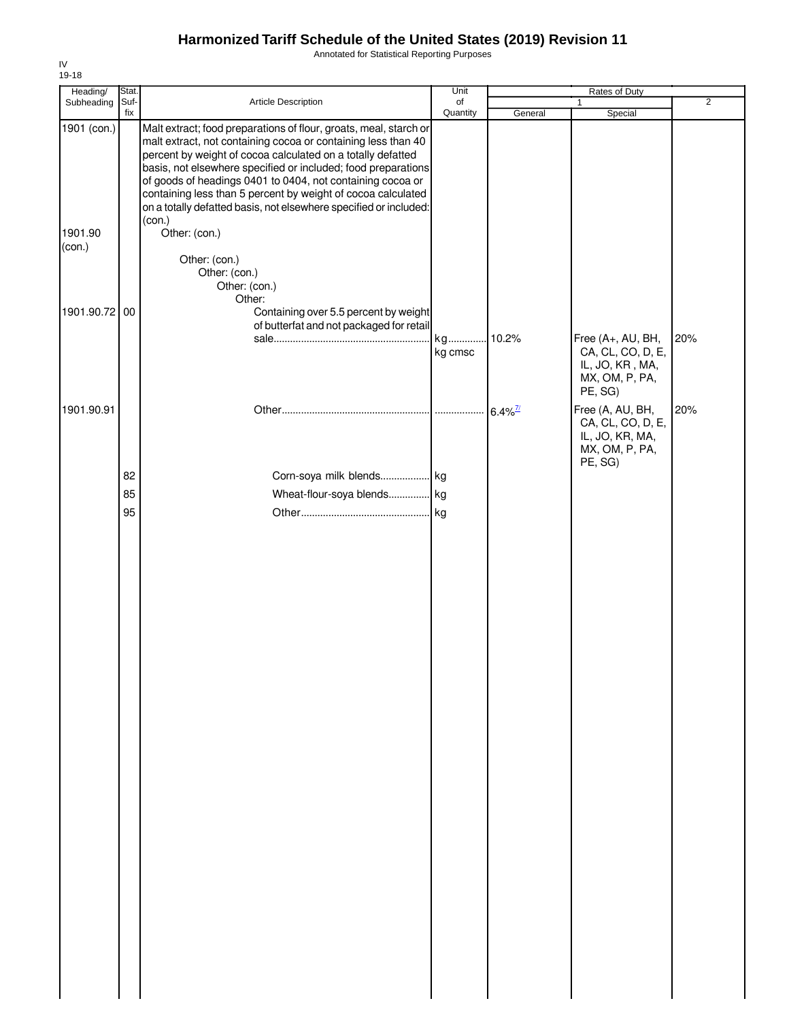Annotated for Statistical Reporting Purposes

| Heading/          | Stat.       |                                                                                                                                                                                                                                                                                                                                                                                                                                                                                 | Unit           | Rates of Duty         |                                                                                       |                |
|-------------------|-------------|---------------------------------------------------------------------------------------------------------------------------------------------------------------------------------------------------------------------------------------------------------------------------------------------------------------------------------------------------------------------------------------------------------------------------------------------------------------------------------|----------------|-----------------------|---------------------------------------------------------------------------------------|----------------|
| Subheading        | Suf-<br>fix | Article Description                                                                                                                                                                                                                                                                                                                                                                                                                                                             | of<br>Quantity | General               | $\mathbf{1}$<br>Special                                                               | $\overline{2}$ |
| 1901 (con.)       |             | Malt extract; food preparations of flour, groats, meal, starch or<br>malt extract, not containing cocoa or containing less than 40<br>percent by weight of cocoa calculated on a totally defatted<br>basis, not elsewhere specified or included; food preparations<br>of goods of headings 0401 to 0404, not containing cocoa or<br>containing less than 5 percent by weight of cocoa calculated<br>on a totally defatted basis, not elsewhere specified or included:<br>(con.) |                |                       |                                                                                       |                |
| 1901.90<br>(con.) |             | Other: (con.)<br>Other: (con.)<br>Other: (con.)<br>Other: (con.)<br>Other:                                                                                                                                                                                                                                                                                                                                                                                                      |                |                       |                                                                                       |                |
| 1901.90.72 00     |             | Containing over 5.5 percent by weight                                                                                                                                                                                                                                                                                                                                                                                                                                           |                |                       |                                                                                       |                |
|                   |             | of butterfat and not packaged for retail                                                                                                                                                                                                                                                                                                                                                                                                                                        | kg             | 10.2%                 | Free (A+, AU, BH,                                                                     | 20%            |
|                   |             |                                                                                                                                                                                                                                                                                                                                                                                                                                                                                 | kg cmsc        |                       | CA, CL, CO, D, E,<br>IL, JO, KR, MA,<br>MX, OM, P, PA,<br>PE, SG)                     |                |
| 1901.90.91        |             |                                                                                                                                                                                                                                                                                                                                                                                                                                                                                 |                | $6.4\%$ <sup>7/</sup> | Free (A, AU, BH,<br>CA, CL, CO, D, E,<br>IL, JO, KR, MA,<br>MX, OM, P, PA,<br>PE, SG) | 20%            |
|                   | 82          | Corn-soya milk blends kg                                                                                                                                                                                                                                                                                                                                                                                                                                                        |                |                       |                                                                                       |                |
|                   | 85          | Wheat-flour-soya blends kg                                                                                                                                                                                                                                                                                                                                                                                                                                                      |                |                       |                                                                                       |                |
|                   | 95          |                                                                                                                                                                                                                                                                                                                                                                                                                                                                                 |                |                       |                                                                                       |                |
|                   |             |                                                                                                                                                                                                                                                                                                                                                                                                                                                                                 |                |                       |                                                                                       |                |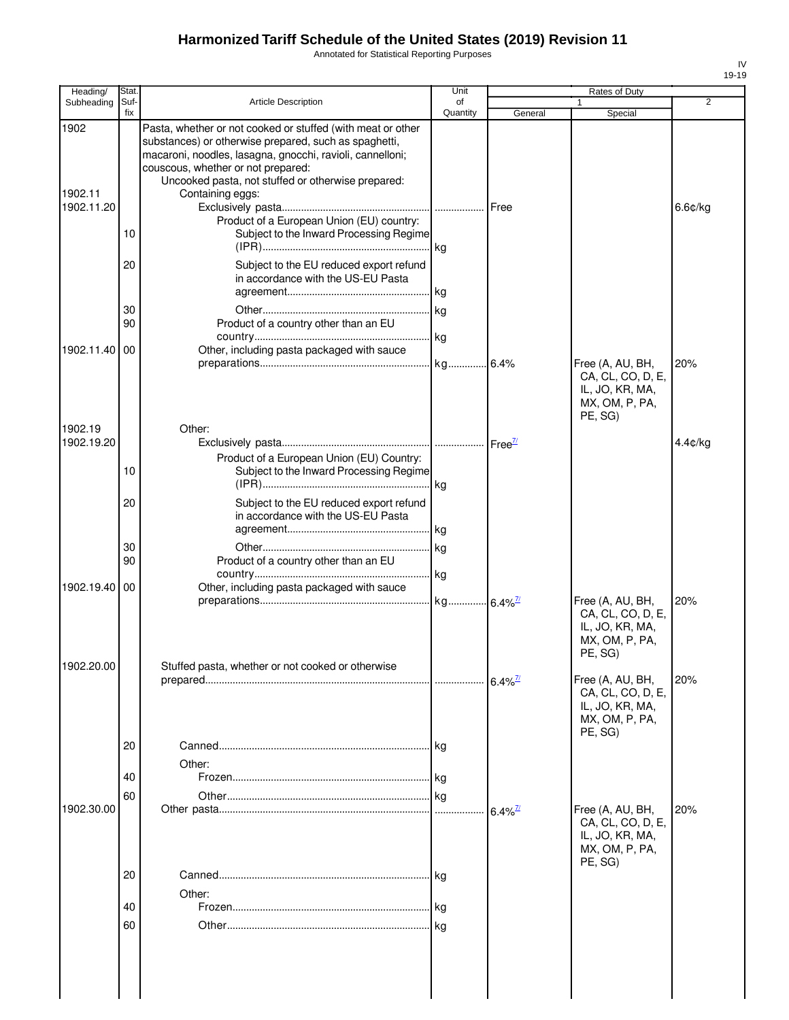Annotated for Statistical Reporting Purposes

| Stat           |                                                                                                                                                                                                                                                                                                                                                                                           | Unit                                                                                                   |                                                                                          | Rates of Duty                                                                         |                                         |
|----------------|-------------------------------------------------------------------------------------------------------------------------------------------------------------------------------------------------------------------------------------------------------------------------------------------------------------------------------------------------------------------------------------------|--------------------------------------------------------------------------------------------------------|------------------------------------------------------------------------------------------|---------------------------------------------------------------------------------------|-----------------------------------------|
| fix            |                                                                                                                                                                                                                                                                                                                                                                                           | Quantity                                                                                               | General                                                                                  | Special                                                                               | $\overline{2}$                          |
| 10<br>20       | Pasta, whether or not cooked or stuffed (with meat or other<br>substances) or otherwise prepared, such as spaghetti,<br>macaroni, noodles, lasagna, gnocchi, ravioli, cannelloni;<br>couscous, whether or not prepared:<br>Uncooked pasta, not stuffed or otherwise prepared:<br>Containing eggs:<br>Product of a European Union (EU) country:<br>Subject to the EU reduced export refund |                                                                                                        | Free                                                                                     |                                                                                       | 6.6¢/kg                                 |
| 30<br>90<br>00 | Product of a country other than an EU<br>Other, including pasta packaged with sauce                                                                                                                                                                                                                                                                                                       |                                                                                                        |                                                                                          | Free (A, AU, BH,<br>CA, CL, CO, D, E,<br>IL, JO, KR, MA,                              | 20%                                     |
| 10<br>20       | Other:<br>Product of a European Union (EU) Country:<br>Subject to the EU reduced export refund                                                                                                                                                                                                                                                                                            |                                                                                                        |                                                                                          | PE, SG)                                                                               | 4.4¢/kg                                 |
| 30<br>90<br>00 | Product of a country other than an EU<br>Other, including pasta packaged with sauce                                                                                                                                                                                                                                                                                                       |                                                                                                        |                                                                                          | Free (A, AU, BH,                                                                      | 20%                                     |
|                | Stuffed pasta, whether or not cooked or otherwise                                                                                                                                                                                                                                                                                                                                         |                                                                                                        |                                                                                          | CA, CL, CO, D, E,<br>IL, JO, KR, MA,<br>MX, OM, P, PA,<br>PE, SG)                     | 20%                                     |
| 20<br>40       | Other:                                                                                                                                                                                                                                                                                                                                                                                    |                                                                                                        |                                                                                          | CA, CL, CO, D, E,<br>IL, JO, KR, MA,<br>MX, OM, P, PA,<br>PE. SG)                     |                                         |
| 60             |                                                                                                                                                                                                                                                                                                                                                                                           |                                                                                                        | $6.4\%$ <sup>7/</sup>                                                                    | Free (A, AU, BH,<br>CA, CL, CO, D, E,<br>IL, JO, KR, MA,<br>MX, OM, P, PA,<br>PE, SG) | 20%                                     |
|                | Suf-                                                                                                                                                                                                                                                                                                                                                                                      | <b>Article Description</b><br>in accordance with the US-EU Pasta<br>in accordance with the US-EU Pasta | of<br>Subject to the Inward Processing Regime<br>Subject to the Inward Processing Regime | $6.4\%$ <sup>7/2</sup>                                                                | 1<br>MX, OM, P, PA,<br>Free (A, AU, BH, |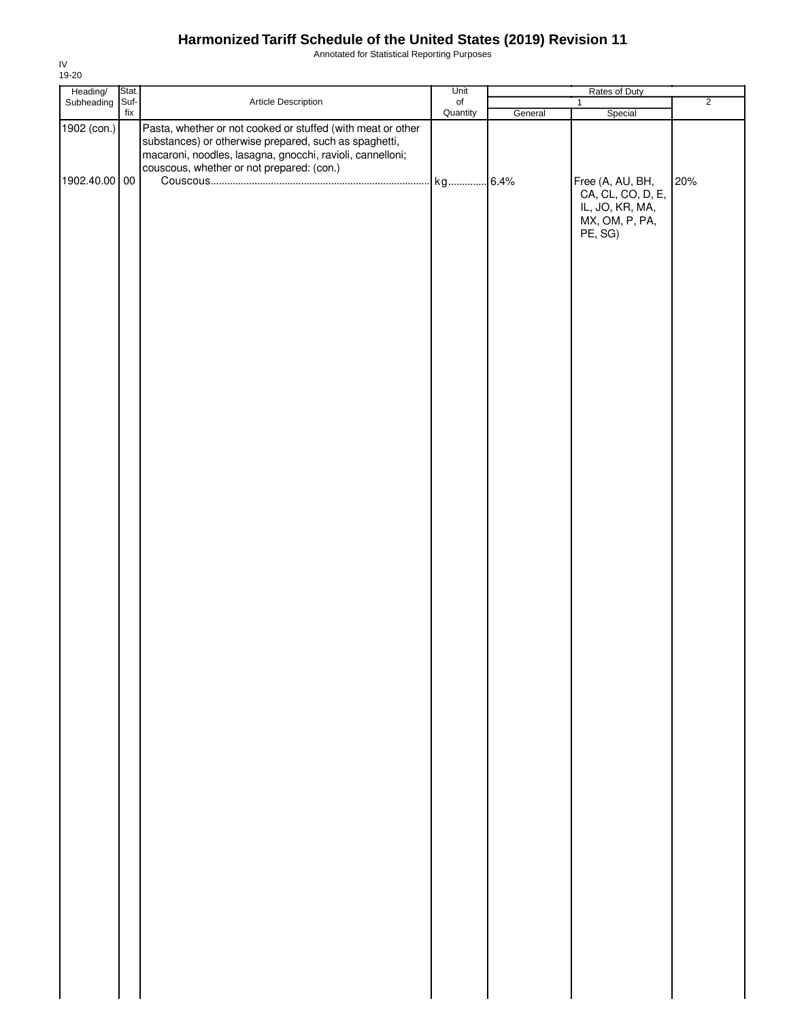Annotated for Statistical Reporting Purposes

| Heading/ Stat.<br>Subheading Suf- |     |                                                                                                                                                                                                                                | Unit           | Rates of Duty |                                                                                       |                |
|-----------------------------------|-----|--------------------------------------------------------------------------------------------------------------------------------------------------------------------------------------------------------------------------------|----------------|---------------|---------------------------------------------------------------------------------------|----------------|
|                                   | fix | Article Description                                                                                                                                                                                                            | of<br>Quantity |               | $\mathbf{1}$                                                                          | $\overline{2}$ |
| 1902 (con.)                       |     | Pasta, whether or not cooked or stuffed (with meat or other<br>substances) or otherwise prepared, such as spaghetti,<br>macaroni, noodles, lasagna, gnocchi, ravioli, cannelloni;<br>couscous, whether or not prepared: (con.) |                | General       | Special                                                                               |                |
| 1902.40.00 00                     |     |                                                                                                                                                                                                                                |                |               | Free (A, AU, BH,<br>CA, CL, CO, D, E,<br>IL, JO, KR, MA,<br>MX, OM, P, PA,<br>PE, SG) | 20%            |
|                                   |     |                                                                                                                                                                                                                                |                |               |                                                                                       |                |
|                                   |     |                                                                                                                                                                                                                                |                |               |                                                                                       |                |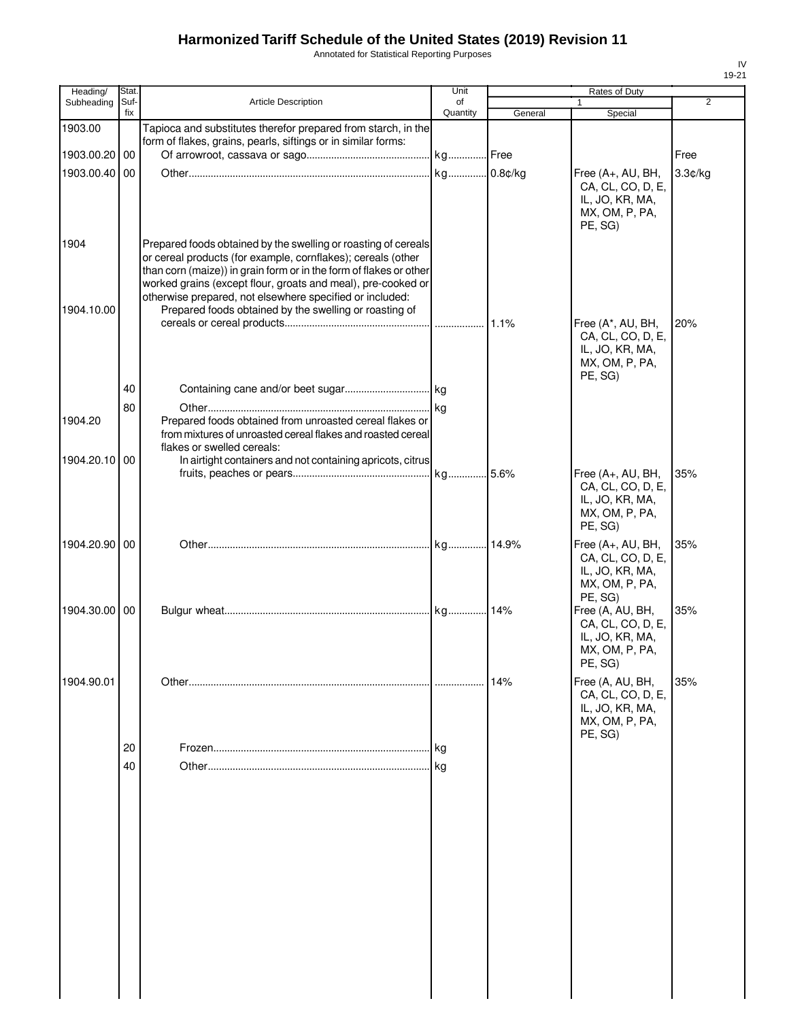Annotated for Statistical Reporting Purposes

| Heading/      | Stat. |                                                                                                                                    | Unit       |         | Rates of Duty                                |                |
|---------------|-------|------------------------------------------------------------------------------------------------------------------------------------|------------|---------|----------------------------------------------|----------------|
| Subheading    | Suf-  | <b>Article Description</b>                                                                                                         | of         |         |                                              | $\overline{2}$ |
|               | fix   |                                                                                                                                    | Quantity   | General | Special                                      |                |
| 1903.00       |       | Tapioca and substitutes therefor prepared from starch, in the<br>form of flakes, grains, pearls, siftings or in similar forms:     |            |         |                                              |                |
| 1903.00.20 00 |       |                                                                                                                                    | kg Free    |         |                                              | Free           |
| 1903.00.40 00 |       |                                                                                                                                    | kg 0.8¢/kg |         |                                              |                |
|               |       |                                                                                                                                    |            |         | Free (A+, AU, BH,<br>CA, CL, CO, D, E,       | 3.3¢/kg        |
|               |       |                                                                                                                                    |            |         | IL, JO, KR, MA,<br>MX, OM, P, PA,<br>PE, SG) |                |
| 1904          |       | Prepared foods obtained by the swelling or roasting of cereals                                                                     |            |         |                                              |                |
|               |       | or cereal products (for example, cornflakes); cereals (other                                                                       |            |         |                                              |                |
|               |       | than corn (maize)) in grain form or in the form of flakes or other<br>worked grains (except flour, groats and meal), pre-cooked or |            |         |                                              |                |
|               |       | otherwise prepared, not elsewhere specified or included:                                                                           |            |         |                                              |                |
| 1904.10.00    |       | Prepared foods obtained by the swelling or roasting of                                                                             |            |         |                                              |                |
|               |       |                                                                                                                                    |            |         | Free (A*, AU, BH,                            | 20%            |
|               |       |                                                                                                                                    |            |         | CA, CL, CO, D, E,                            |                |
|               |       |                                                                                                                                    |            |         | IL, JO, KR, MA,                              |                |
|               |       |                                                                                                                                    |            |         | MX, OM, P, PA,                               |                |
|               |       |                                                                                                                                    |            |         | PE, SG)                                      |                |
|               | 40    |                                                                                                                                    |            |         |                                              |                |
|               | 80    |                                                                                                                                    |            |         |                                              |                |
| 1904.20       |       | Prepared foods obtained from unroasted cereal flakes or                                                                            |            |         |                                              |                |
|               |       | from mixtures of unroasted cereal flakes and roasted cereal                                                                        |            |         |                                              |                |
|               |       | flakes or swelled cereals:                                                                                                         |            |         |                                              |                |
| 1904.20.10 00 |       | In airtight containers and not containing apricots, citrus                                                                         |            |         |                                              |                |
|               |       |                                                                                                                                    |            |         | Free (A+, AU, BH,<br>CA, CL, CO, D, E,       | 35%            |
|               |       |                                                                                                                                    |            |         | IL, JO, KR, MA,                              |                |
|               |       |                                                                                                                                    |            |         | MX, OM, P, PA,                               |                |
|               |       |                                                                                                                                    |            |         | PE, SG)                                      |                |
| 1904.20.90 00 |       |                                                                                                                                    |            |         | Free (A+, AU, BH,                            | 35%            |
|               |       |                                                                                                                                    |            |         | CA, CL, CO, D, E,                            |                |
|               |       |                                                                                                                                    |            |         | IL, JO, KR, MA,                              |                |
|               |       |                                                                                                                                    |            |         | MX, OM, P, PA,                               |                |
|               |       |                                                                                                                                    |            |         | PE, SG)                                      |                |
| 1904.30.00 00 |       |                                                                                                                                    |            |         | Free (A, AU, BH,                             | 35%            |
|               |       |                                                                                                                                    |            |         | CA, CL, CO, D, E,                            |                |
|               |       |                                                                                                                                    |            |         | IL, JO, KR, MA,                              |                |
|               |       |                                                                                                                                    |            |         | MX, OM, P, PA,<br>PE, SG)                    |                |
|               |       |                                                                                                                                    |            |         |                                              |                |
| 1904.90.01    |       |                                                                                                                                    |            | 14%     | Free (A, AU, BH,                             | 35%            |
|               |       |                                                                                                                                    |            |         | CA, CL, CO, D, E,<br>IL, JO, KR, MA,         |                |
|               |       |                                                                                                                                    |            |         | MX, OM, P, PA,                               |                |
|               |       |                                                                                                                                    |            |         | PE, SG)                                      |                |
|               | 20    |                                                                                                                                    | . I kg     |         |                                              |                |
|               | 40    |                                                                                                                                    |            |         |                                              |                |
|               |       |                                                                                                                                    |            |         |                                              |                |
|               |       |                                                                                                                                    |            |         |                                              |                |
|               |       |                                                                                                                                    |            |         |                                              |                |
|               |       |                                                                                                                                    |            |         |                                              |                |
|               |       |                                                                                                                                    |            |         |                                              |                |
|               |       |                                                                                                                                    |            |         |                                              |                |
|               |       |                                                                                                                                    |            |         |                                              |                |
|               |       |                                                                                                                                    |            |         |                                              |                |
|               |       |                                                                                                                                    |            |         |                                              |                |
|               |       |                                                                                                                                    |            |         |                                              |                |
|               |       |                                                                                                                                    |            |         |                                              |                |
|               |       |                                                                                                                                    |            |         |                                              |                |
|               |       |                                                                                                                                    |            |         |                                              |                |
|               |       |                                                                                                                                    |            |         |                                              |                |
|               |       |                                                                                                                                    |            |         |                                              |                |
|               |       |                                                                                                                                    |            |         |                                              |                |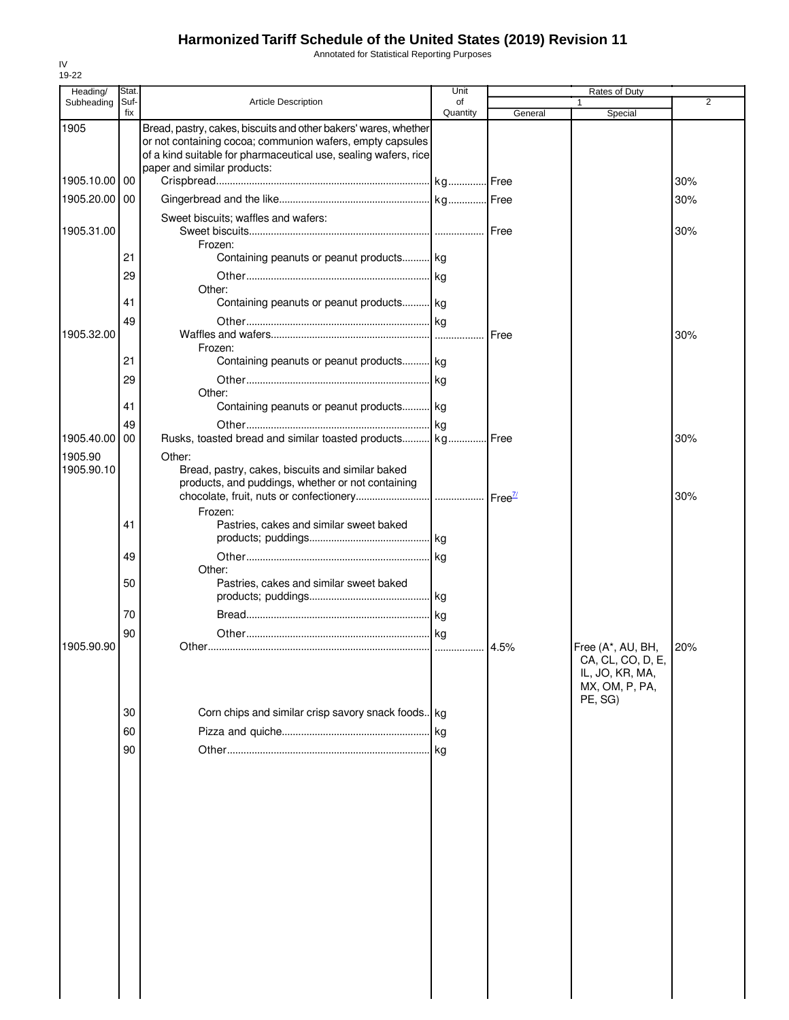Annotated for Statistical Reporting Purposes

| Heading/              | Stat.       |                                                                                                                                                                                                                                | Unit           |         | Rates of Duty                                                                          |                |
|-----------------------|-------------|--------------------------------------------------------------------------------------------------------------------------------------------------------------------------------------------------------------------------------|----------------|---------|----------------------------------------------------------------------------------------|----------------|
| Subheading            | Suf-<br>fix | <b>Article Description</b>                                                                                                                                                                                                     | of<br>Quantity | General | 1<br>Special                                                                           | $\overline{2}$ |
| 1905                  |             | Bread, pastry, cakes, biscuits and other bakers' wares, whether<br>or not containing cocoa; communion wafers, empty capsules<br>of a kind suitable for pharmaceutical use, sealing wafers, rice<br>paper and similar products: |                |         |                                                                                        |                |
| 1905.10.00            | 00          |                                                                                                                                                                                                                                |                |         |                                                                                        | 30%            |
| 1905.20.00 00         |             |                                                                                                                                                                                                                                |                |         |                                                                                        | 30%            |
| 1905.31.00            |             | Sweet biscuits; waffles and wafers:<br>Frozen:                                                                                                                                                                                 |                |         |                                                                                        | 30%            |
|                       | 21          | Containing peanuts or peanut products kg                                                                                                                                                                                       |                |         |                                                                                        |                |
|                       | 29          |                                                                                                                                                                                                                                |                |         |                                                                                        |                |
|                       | 41          | Other:<br>Containing peanuts or peanut products kg                                                                                                                                                                             |                |         |                                                                                        |                |
|                       | 49          |                                                                                                                                                                                                                                |                |         |                                                                                        |                |
| 1905.32.00            |             |                                                                                                                                                                                                                                |                |         |                                                                                        | 30%            |
|                       | 21          | Frozen:<br>Containing peanuts or peanut products kg                                                                                                                                                                            |                |         |                                                                                        |                |
|                       | 29          |                                                                                                                                                                                                                                |                |         |                                                                                        |                |
|                       |             | Other:                                                                                                                                                                                                                         |                |         |                                                                                        |                |
|                       | 41          | Containing peanuts or peanut products kg                                                                                                                                                                                       |                |         |                                                                                        |                |
|                       | 49          |                                                                                                                                                                                                                                |                |         |                                                                                        |                |
| 1905.40.00            | 00          | Rusks, toasted bread and similar toasted products kg Free                                                                                                                                                                      |                |         |                                                                                        | 30%            |
| 1905.90<br>1905.90.10 |             | Other:<br>Bread, pastry, cakes, biscuits and similar baked<br>products, and puddings, whether or not containing                                                                                                                |                |         |                                                                                        | 30%            |
|                       | 41          | Frozen:<br>Pastries, cakes and similar sweet baked                                                                                                                                                                             |                |         |                                                                                        |                |
|                       | 49          | Other:                                                                                                                                                                                                                         | kg             |         |                                                                                        |                |
|                       | 50          | Pastries, cakes and similar sweet baked                                                                                                                                                                                        |                |         |                                                                                        |                |
|                       | 70          |                                                                                                                                                                                                                                |                |         |                                                                                        |                |
|                       | 90          |                                                                                                                                                                                                                                |                |         |                                                                                        |                |
| 1905.90.90            |             |                                                                                                                                                                                                                                |                |         | Free (A*, AU, BH,<br>CA, CL, CO, D, E,<br>IL, JO, KR, MA,<br>MX, OM, P, PA,<br>PE, SG) | 20%            |
|                       | 30          | Corn chips and similar crisp savory snack foods. kg                                                                                                                                                                            |                |         |                                                                                        |                |
|                       | 60          |                                                                                                                                                                                                                                | lkg.           |         |                                                                                        |                |
|                       | 90          |                                                                                                                                                                                                                                | <b>kg</b>      |         |                                                                                        |                |
|                       |             |                                                                                                                                                                                                                                |                |         |                                                                                        |                |
|                       |             |                                                                                                                                                                                                                                |                |         |                                                                                        |                |
|                       |             |                                                                                                                                                                                                                                |                |         |                                                                                        |                |
|                       |             |                                                                                                                                                                                                                                |                |         |                                                                                        |                |
|                       |             |                                                                                                                                                                                                                                |                |         |                                                                                        |                |
|                       |             |                                                                                                                                                                                                                                |                |         |                                                                                        |                |
|                       |             |                                                                                                                                                                                                                                |                |         |                                                                                        |                |
|                       |             |                                                                                                                                                                                                                                |                |         |                                                                                        |                |
|                       |             |                                                                                                                                                                                                                                |                |         |                                                                                        |                |
|                       |             |                                                                                                                                                                                                                                |                |         |                                                                                        |                |
|                       |             |                                                                                                                                                                                                                                |                |         |                                                                                        |                |
|                       |             |                                                                                                                                                                                                                                |                |         |                                                                                        |                |
|                       |             |                                                                                                                                                                                                                                |                |         |                                                                                        |                |